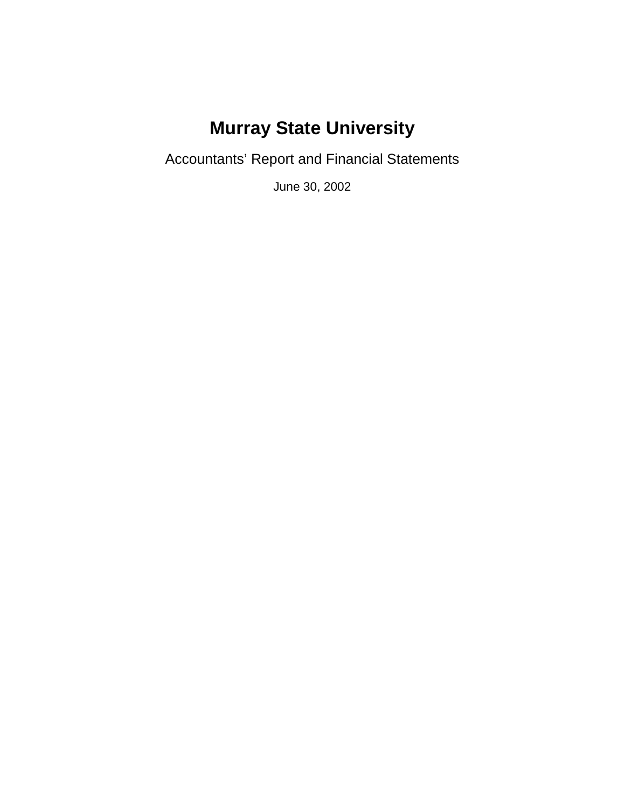# **Murray State University**

Accountants' Report and Financial Statements

June 30, 2002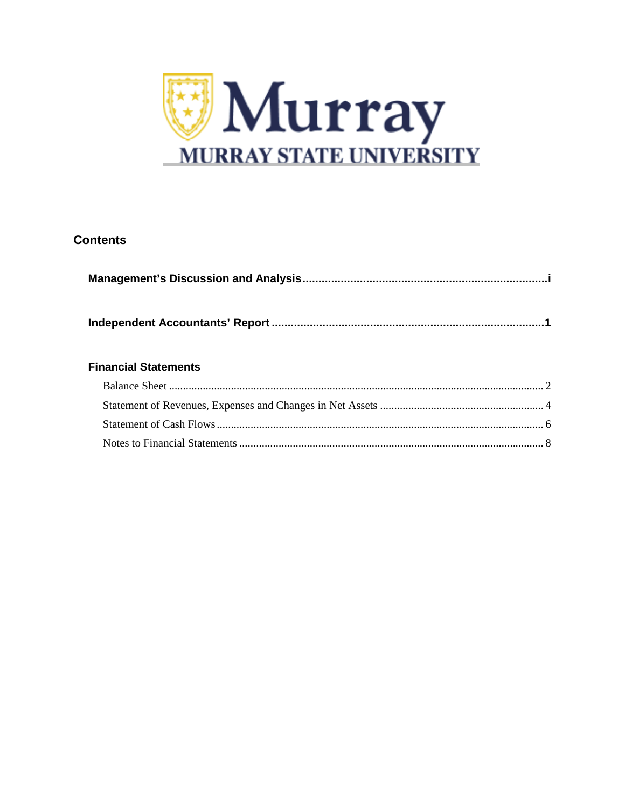

# **Contents**

| <b>Financial Statements</b> |  |
|-----------------------------|--|
|                             |  |
|                             |  |
|                             |  |
|                             |  |
|                             |  |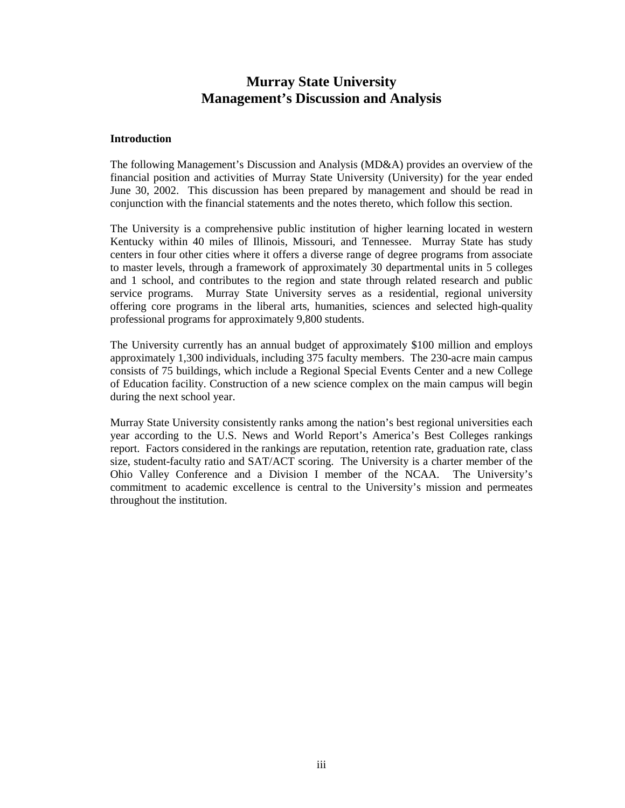#### **Introduction**

The following Management's Discussion and Analysis (MD&A) provides an overview of the financial position and activities of Murray State University (University) for the year ended June 30, 2002. This discussion has been prepared by management and should be read in conjunction with the financial statements and the notes thereto, which follow this section.

The University is a comprehensive public institution of higher learning located in western Kentucky within 40 miles of Illinois, Missouri, and Tennessee. Murray State has study centers in four other cities where it offers a diverse range of degree programs from associate to master levels, through a framework of approximately 30 departmental units in 5 colleges and 1 school, and contributes to the region and state through related research and public service programs. Murray State University serves as a residential, regional university offering core programs in the liberal arts, humanities, sciences and selected high-quality professional programs for approximately 9,800 students.

The University currently has an annual budget of approximately \$100 million and employs approximately 1,300 individuals, including 375 faculty members. The 230-acre main campus consists of 75 buildings, which include a Regional Special Events Center and a new College of Education facility. Construction of a new science complex on the main campus will begin during the next school year.

Murray State University consistently ranks among the nation's best regional universities each year according to the U.S. News and World Report's America's Best Colleges rankings report. Factors considered in the rankings are reputation, retention rate, graduation rate, class size, student-faculty ratio and SAT/ACT scoring. The University is a charter member of the Ohio Valley Conference and a Division I member of the NCAA. The University's commitment to academic excellence is central to the University's mission and permeates throughout the institution.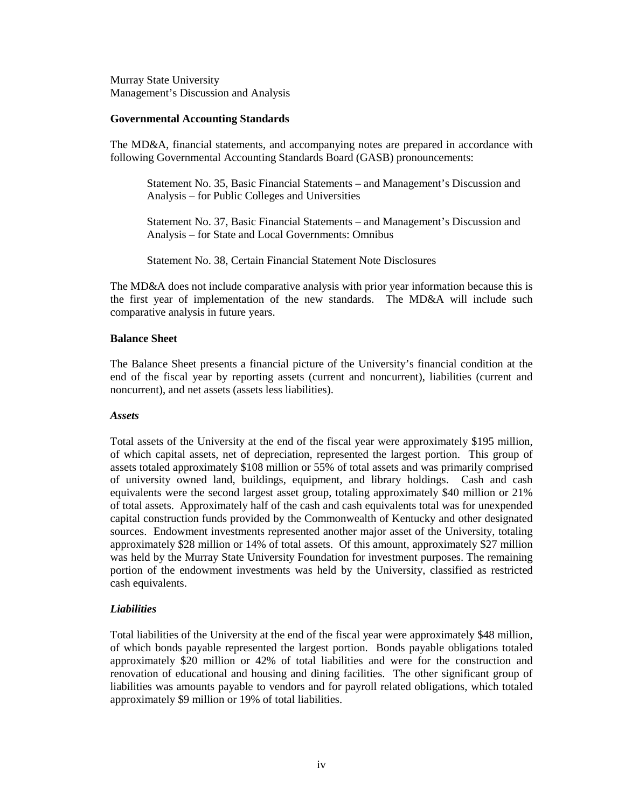#### **Governmental Accounting Standards**

The MD&A, financial statements, and accompanying notes are prepared in accordance with following Governmental Accounting Standards Board (GASB) pronouncements:

Statement No. 35, Basic Financial Statements – and Management's Discussion and Analysis – for Public Colleges and Universities

Statement No. 37, Basic Financial Statements – and Management's Discussion and Analysis – for State and Local Governments: Omnibus

Statement No. 38, Certain Financial Statement Note Disclosures

The MD&A does not include comparative analysis with prior year information because this is the first year of implementation of the new standards. The MD&A will include such comparative analysis in future years.

#### **Balance Sheet**

The Balance Sheet presents a financial picture of the University's financial condition at the end of the fiscal year by reporting assets (current and noncurrent), liabilities (current and noncurrent), and net assets (assets less liabilities).

### *Assets*

Total assets of the University at the end of the fiscal year were approximately \$195 million, of which capital assets, net of depreciation, represented the largest portion. This group of assets totaled approximately \$108 million or 55% of total assets and was primarily comprised of university owned land, buildings, equipment, and library holdings. Cash and cash equivalents were the second largest asset group, totaling approximately \$40 million or 21% of total assets. Approximately half of the cash and cash equivalents total was for unexpended capital construction funds provided by the Commonwealth of Kentucky and other designated sources. Endowment investments represented another major asset of the University, totaling approximately \$28 million or 14% of total assets. Of this amount, approximately \$27 million was held by the Murray State University Foundation for investment purposes. The remaining portion of the endowment investments was held by the University, classified as restricted cash equivalents.

### *Liabilities*

Total liabilities of the University at the end of the fiscal year were approximately \$48 million, of which bonds payable represented the largest portion. Bonds payable obligations totaled approximately \$20 million or 42% of total liabilities and were for the construction and renovation of educational and housing and dining facilities. The other significant group of liabilities was amounts payable to vendors and for payroll related obligations, which totaled approximately \$9 million or 19% of total liabilities.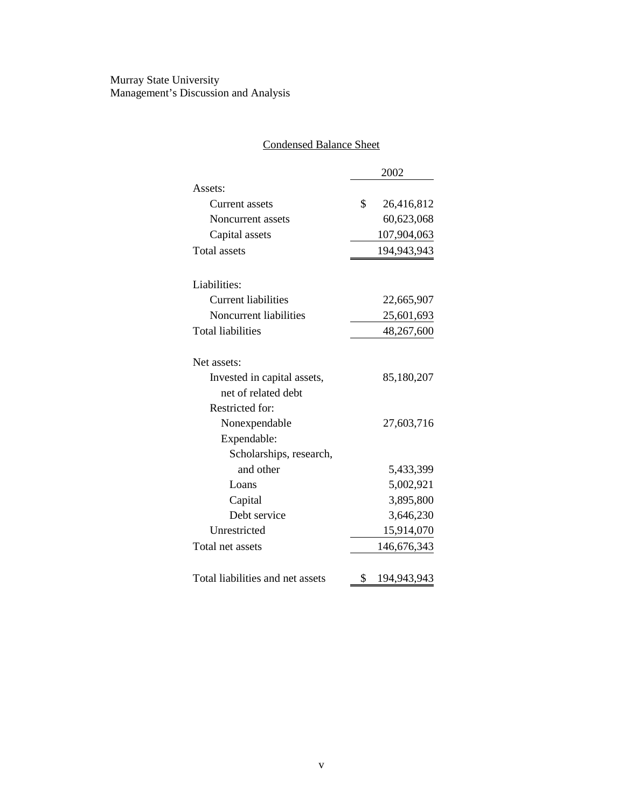|                                        | 2002              |
|----------------------------------------|-------------------|
| Assets:                                |                   |
| <b>Current assets</b>                  | \$<br>26,416,812  |
| Noncurrent assets                      | 60,623,068        |
| Capital assets                         | 107,904,063       |
| <b>Total assets</b>                    | 194,943,943       |
| Liabilities:                           |                   |
| <b>Current liabilities</b>             | 22,665,907        |
| Noncurrent liabilities                 | 25,601,693        |
| <b>Total liabilities</b>               | 48,267,600        |
| Net assets:                            |                   |
| Invested in capital assets,            | 85,180,207        |
| net of related debt                    |                   |
| Restricted for:                        |                   |
| Nonexpendable                          | 27,603,716        |
|                                        |                   |
| Expendable:<br>Scholarships, research, |                   |
| and other                              | 5,433,399         |
| Loans                                  | 5,002,921         |
| Capital                                | 3,895,800         |
| Debt service                           | 3,646,230         |
| Unrestricted                           |                   |
|                                        | 15,914,070        |
| Total net assets                       | 146,676,343       |
| Total liabilities and net assets       | \$<br>194,943,943 |

# Condensed Balance Sheet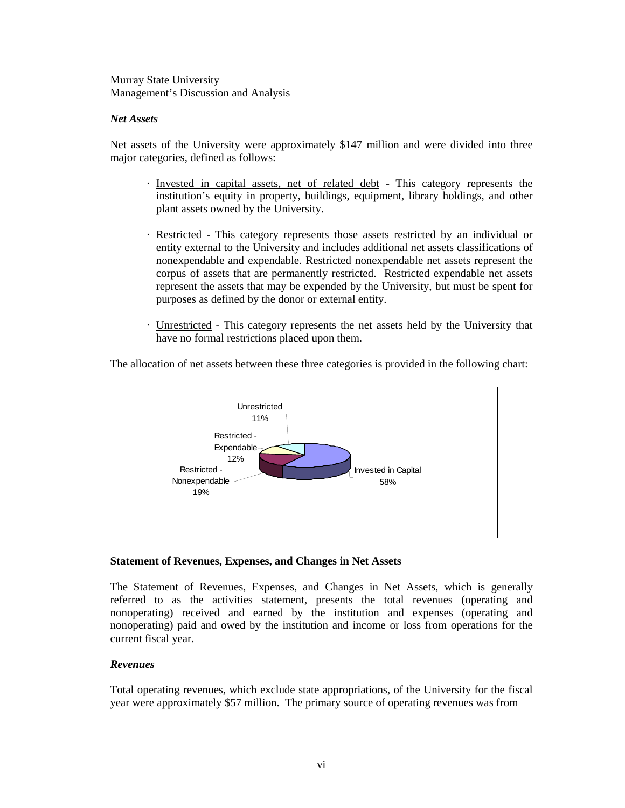### *Net Assets*

Net assets of the University were approximately \$147 million and were divided into three major categories, defined as follows:

- · Invested in capital assets, net of related debt This category represents the institution's equity in property, buildings, equipment, library holdings, and other plant assets owned by the University.
- · Restricted This category represents those assets restricted by an individual or entity external to the University and includes additional net assets classifications of nonexpendable and expendable. Restricted nonexpendable net assets represent the corpus of assets that are permanently restricted. Restricted expendable net assets represent the assets that may be expended by the University, but must be spent for purposes as defined by the donor or external entity.
- · Unrestricted This category represents the net assets held by the University that have no formal restrictions placed upon them.

**Restricted** Nonexpendable 19% Restricted - Expendable 12% Unrestricted 11% Invested in Capital 58%

The allocation of net assets between these three categories is provided in the following chart:

### **Statement of Revenues, Expenses, and Changes in Net Assets**

The Statement of Revenues, Expenses, and Changes in Net Assets, which is generally referred to as the activities statement, presents the total revenues (operating and nonoperating) received and earned by the institution and expenses (operating and nonoperating) paid and owed by the institution and income or loss from operations for the current fiscal year.

### *Revenues*

Total operating revenues, which exclude state appropriations, of the University for the fiscal year were approximately \$57 million. The primary source of operating revenues was from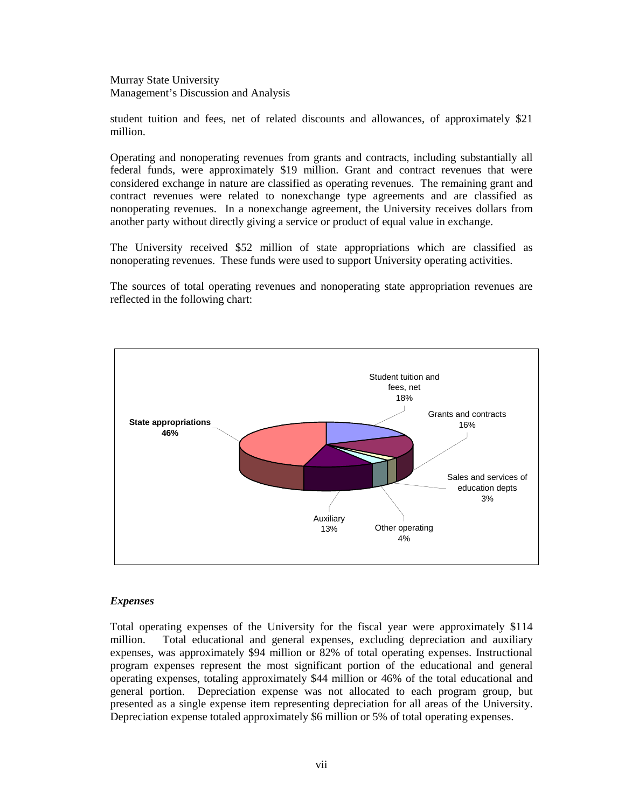student tuition and fees, net of related discounts and allowances, of approximately \$21 million.

Operating and nonoperating revenues from grants and contracts, including substantially all federal funds, were approximately \$19 million. Grant and contract revenues that were considered exchange in nature are classified as operating revenues. The remaining grant and contract revenues were related to nonexchange type agreements and are classified as nonoperating revenues. In a nonexchange agreement, the University receives dollars from another party without directly giving a service or product of equal value in exchange.

The University received \$52 million of state appropriations which are classified as nonoperating revenues. These funds were used to support University operating activities.

The sources of total operating revenues and nonoperating state appropriation revenues are reflected in the following chart:



### *Expenses*

Total operating expenses of the University for the fiscal year were approximately \$114 million. Total educational and general expenses, excluding depreciation and auxiliary expenses, was approximately \$94 million or 82% of total operating expenses. Instructional program expenses represent the most significant portion of the educational and general operating expenses, totaling approximately \$44 million or 46% of the total educational and general portion. Depreciation expense was not allocated to each program group, but presented as a single expense item representing depreciation for all areas of the University. Depreciation expense totaled approximately \$6 million or 5% of total operating expenses.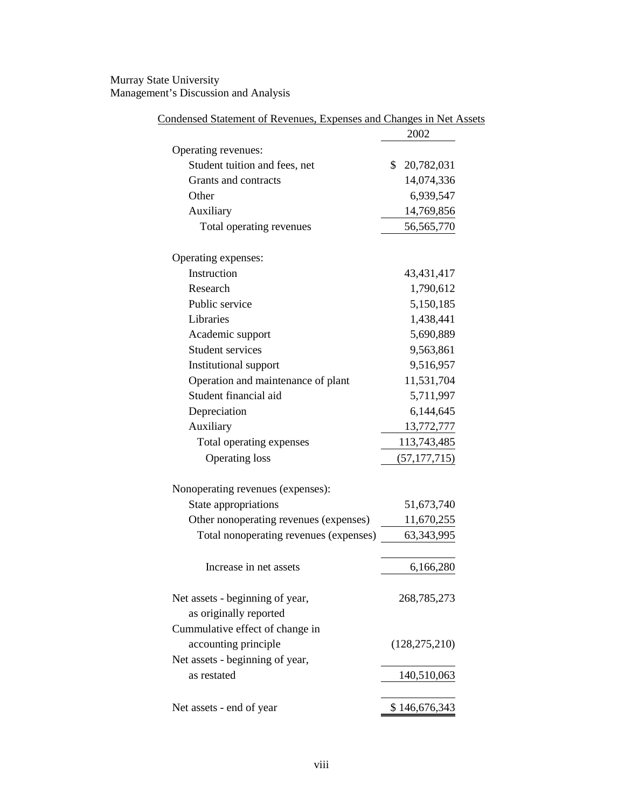|                                        | 2002             |
|----------------------------------------|------------------|
| Operating revenues:                    |                  |
| Student tuition and fees, net          | \$<br>20,782,031 |
| Grants and contracts                   | 14,074,336       |
| Other                                  | 6,939,547        |
| Auxiliary                              | 14,769,856       |
| Total operating revenues               | 56,565,770       |
| Operating expenses:                    |                  |
| Instruction                            | 43, 431, 417     |
| Research                               | 1,790,612        |
| Public service                         | 5,150,185        |
| Libraries                              | 1,438,441        |
| Academic support                       | 5,690,889        |
| Student services                       | 9,563,861        |
| Institutional support                  | 9,516,957        |
| Operation and maintenance of plant     | 11,531,704       |
| Student financial aid                  | 5,711,997        |
| Depreciation                           | 6,144,645        |
| Auxiliary                              | 13,772,777       |
| Total operating expenses               | 113,743,485      |
| <b>Operating loss</b>                  | (57, 177, 715)   |
| Nonoperating revenues (expenses):      |                  |
| State appropriations                   | 51,673,740       |
| Other nonoperating revenues (expenses) | 11,670,255       |
| Total nonoperating revenues (expenses) | 63, 343, 995     |
| Increase in net assets                 | 6,166,280        |
| Net assets - beginning of year,        | 268,785,273      |
| as originally reported                 |                  |
| Cummulative effect of change in        |                  |
| accounting principle                   | (128, 275, 210)  |
| Net assets - beginning of year,        |                  |
| as restated                            | 140,510,063      |
| Net assets - end of year               | \$146,676,343    |

# Condensed Statement of Revenues, Expenses and Changes in Net Assets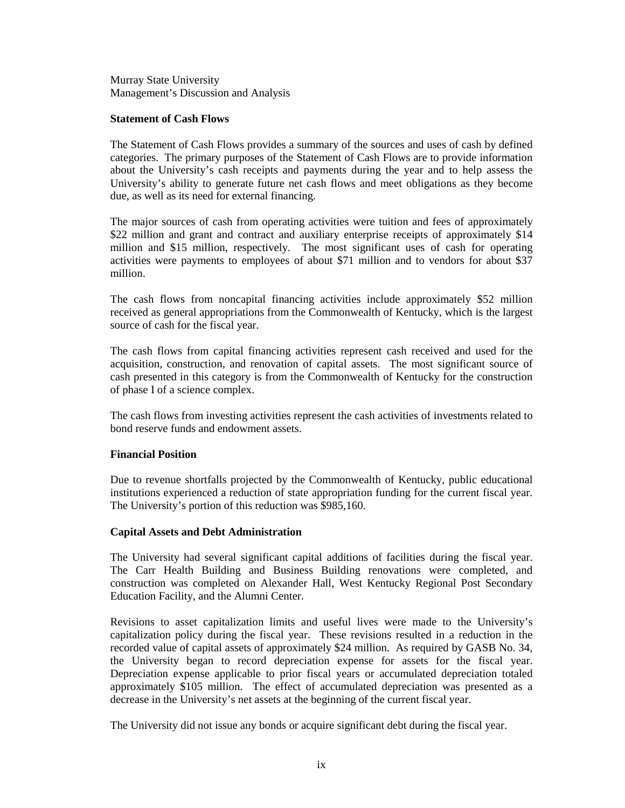#### **Statement of Cash Flows**

The Statement of Cash Flows provides a summary of the sources and uses of cash by defined categories. The primary purposes of the Statement of Cash Flows are to provide information about the University's cash receipts and payments during the year and to help assess the University's ability to generate future net cash flows and meet obligations as they become due, as well as its need for external financing.

The major sources of cash from operating activities were tuition and fees of approximately \$22 million and grant and contract and auxiliary enterprise receipts of approximately \$14 million and \$15 million, respectively. The most significant uses of cash for operating activities were payments to employees of about \$71 million and to vendors for about \$37 million.

The cash flows from noncapital financing activities include approximately \$52 million received as general appropriations from the Commonwealth of Kentucky, which is the largest source of cash for the fiscal year.

The cash flows from capital financing activities represent cash received and used for the acquisition, construction, and renovation of capital assets. The most significant source of cash presented in this category is from the Commonwealth of Kentucky for the construction of phase I of a science complex.

The cash flows from investing activities represent the cash activities of investments related to bond reserve funds and endowment assets.

### **Financial Position**

Due to revenue shortfalls projected by the Commonwealth of Kentucky, public educational institutions experienced a reduction of state appropriation funding for the current fiscal year. The University's portion of this reduction was \$985,160.

#### **Capital Assets and Debt Administration**

The University had several significant capital additions of facilities during the fiscal year. The Carr Health Building and Business Building renovations were completed, and construction was completed on Alexander Hall, West Kentucky Regional Post Secondary Education Facility, and the Alumni Center.

Revisions to asset capitalization limits and useful lives were made to the University's capitalization policy during the fiscal year. These revisions resulted in a reduction in the recorded value of capital assets of approximately \$24 million. As required by GASB No. 34, the University began to record depreciation expense for assets for the fiscal year. Depreciation expense applicable to prior fiscal years or accumulated depreciation totaled approximately \$105 million. The effect of accumulated depreciation was presented as a decrease in the University's net assets at the beginning of the current fiscal year.

The University did not issue any bonds or acquire significant debt during the fiscal year.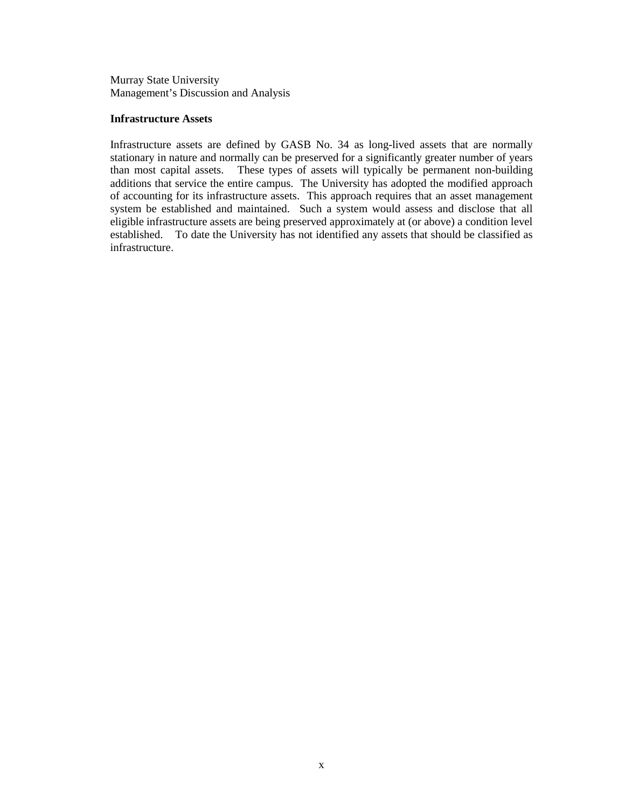#### **Infrastructure Assets**

Infrastructure assets are defined by GASB No. 34 as long-lived assets that are normally stationary in nature and normally can be preserved for a significantly greater number of years than most capital assets. These types of assets will typically be permanent non-building additions that service the entire campus. The University has adopted the modified approach of accounting for its infrastructure assets. This approach requires that an asset management system be established and maintained. Such a system would assess and disclose that all eligible infrastructure assets are being preserved approximately at (or above) a condition level established. To date the University has not identified any assets that should be classified as infrastructure.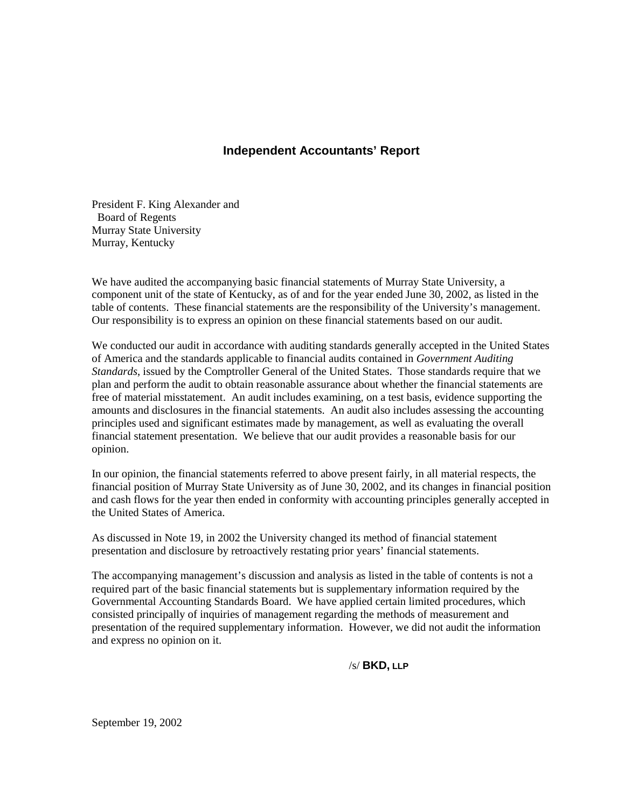# **Independent Accountants' Report**

President F. King Alexander and Board of Regents Murray State University Murray, Kentucky

We have audited the accompanying basic financial statements of Murray State University, a component unit of the state of Kentucky, as of and for the year ended June 30, 2002, as listed in the table of contents. These financial statements are the responsibility of the University's management. Our responsibility is to express an opinion on these financial statements based on our audit.

We conducted our audit in accordance with auditing standards generally accepted in the United States of America and the standards applicable to financial audits contained in *Government Auditing Standards*, issued by the Comptroller General of the United States. Those standards require that we plan and perform the audit to obtain reasonable assurance about whether the financial statements are free of material misstatement. An audit includes examining, on a test basis, evidence supporting the amounts and disclosures in the financial statements. An audit also includes assessing the accounting principles used and significant estimates made by management, as well as evaluating the overall financial statement presentation. We believe that our audit provides a reasonable basis for our opinion.

In our opinion, the financial statements referred to above present fairly, in all material respects, the financial position of Murray State University as of June 30, 2002, and its changes in financial position and cash flows for the year then ended in conformity with accounting principles generally accepted in the United States of America.

As discussed in Note 19, in 2002 the University changed its method of financial statement presentation and disclosure by retroactively restating prior years' financial statements.

The accompanying management's discussion and analysis as listed in the table of contents is not a required part of the basic financial statements but is supplementary information required by the Governmental Accounting Standards Board. We have applied certain limited procedures, which consisted principally of inquiries of management regarding the methods of measurement and presentation of the required supplementary information. However, we did not audit the information and express no opinion on it.

/s/ **BKD, LLP**

September 19, 2002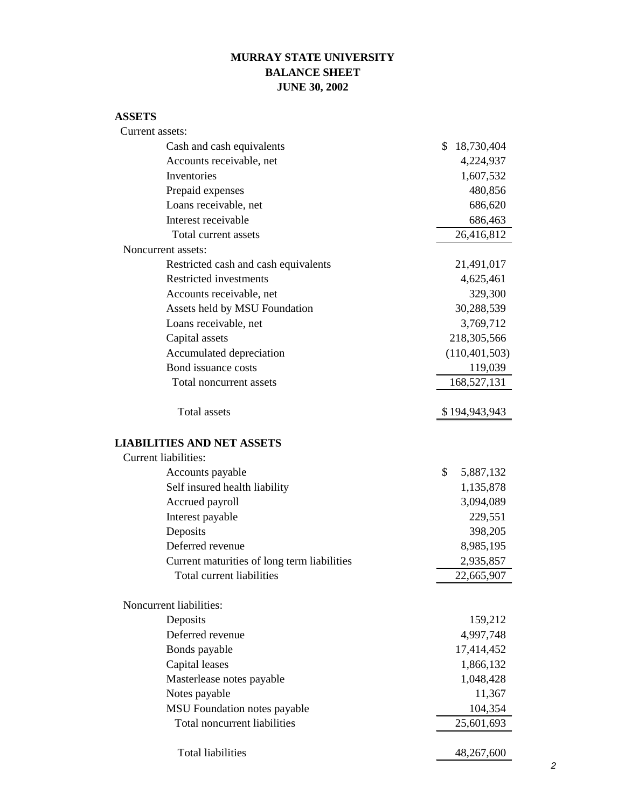# **MURRAY STATE UNIVERSITY BALANCE SHEET JUNE 30, 2002**

# **ASSETS**

| \$<br>18,730,404<br>Cash and cash equivalents<br>Accounts receivable, net<br>4,224,937<br>Inventories<br>1,607,532<br>Prepaid expenses<br>480,856<br>Loans receivable, net<br>686,620<br>Interest receivable<br>686,463<br>Total current assets<br>26,416,812<br>Noncurrent assets:<br>Restricted cash and cash equivalents<br>21,491,017<br>Restricted investments<br>4,625,461<br>Accounts receivable, net<br>329,300<br>Assets held by MSU Foundation<br>30,288,539<br>Loans receivable, net<br>3,769,712<br>Capital assets<br>218,305,566<br>Accumulated depreciation<br>(110, 401, 503)<br>Bond issuance costs<br>119,039<br>168,527,131<br>Total noncurrent assets<br><b>Total assets</b><br>\$194,943,943<br><b>Current liabilities:</b><br>\$<br>Accounts payable<br>5,887,132<br>Self insured health liability<br>1,135,878<br>3,094,089<br>Accrued payroll<br>Interest payable<br>229,551<br>Deposits<br>398,205<br>Deferred revenue<br>8,985,195<br>Current maturities of long term liabilities<br>2,935,857<br>Total current liabilities<br>22,665,907<br>Noncurrent liabilities:<br>Deposits<br>159,212<br>Deferred revenue<br>4,997,748<br>Bonds payable<br>17,414,452<br>Capital leases<br>1,866,132<br>1,048,428<br>Masterlease notes payable<br>11,367<br>Notes payable<br>MSU Foundation notes payable<br>104,354<br>Total noncurrent liabilities<br>25,601,693<br><b>Total liabilities</b><br>48,267,600 | Current assets:                   |  |
|-----------------------------------------------------------------------------------------------------------------------------------------------------------------------------------------------------------------------------------------------------------------------------------------------------------------------------------------------------------------------------------------------------------------------------------------------------------------------------------------------------------------------------------------------------------------------------------------------------------------------------------------------------------------------------------------------------------------------------------------------------------------------------------------------------------------------------------------------------------------------------------------------------------------------------------------------------------------------------------------------------------------------------------------------------------------------------------------------------------------------------------------------------------------------------------------------------------------------------------------------------------------------------------------------------------------------------------------------------------------------------------------------------------------------------|-----------------------------------|--|
|                                                                                                                                                                                                                                                                                                                                                                                                                                                                                                                                                                                                                                                                                                                                                                                                                                                                                                                                                                                                                                                                                                                                                                                                                                                                                                                                                                                                                             |                                   |  |
|                                                                                                                                                                                                                                                                                                                                                                                                                                                                                                                                                                                                                                                                                                                                                                                                                                                                                                                                                                                                                                                                                                                                                                                                                                                                                                                                                                                                                             |                                   |  |
|                                                                                                                                                                                                                                                                                                                                                                                                                                                                                                                                                                                                                                                                                                                                                                                                                                                                                                                                                                                                                                                                                                                                                                                                                                                                                                                                                                                                                             |                                   |  |
|                                                                                                                                                                                                                                                                                                                                                                                                                                                                                                                                                                                                                                                                                                                                                                                                                                                                                                                                                                                                                                                                                                                                                                                                                                                                                                                                                                                                                             |                                   |  |
|                                                                                                                                                                                                                                                                                                                                                                                                                                                                                                                                                                                                                                                                                                                                                                                                                                                                                                                                                                                                                                                                                                                                                                                                                                                                                                                                                                                                                             |                                   |  |
|                                                                                                                                                                                                                                                                                                                                                                                                                                                                                                                                                                                                                                                                                                                                                                                                                                                                                                                                                                                                                                                                                                                                                                                                                                                                                                                                                                                                                             |                                   |  |
|                                                                                                                                                                                                                                                                                                                                                                                                                                                                                                                                                                                                                                                                                                                                                                                                                                                                                                                                                                                                                                                                                                                                                                                                                                                                                                                                                                                                                             |                                   |  |
|                                                                                                                                                                                                                                                                                                                                                                                                                                                                                                                                                                                                                                                                                                                                                                                                                                                                                                                                                                                                                                                                                                                                                                                                                                                                                                                                                                                                                             |                                   |  |
|                                                                                                                                                                                                                                                                                                                                                                                                                                                                                                                                                                                                                                                                                                                                                                                                                                                                                                                                                                                                                                                                                                                                                                                                                                                                                                                                                                                                                             |                                   |  |
|                                                                                                                                                                                                                                                                                                                                                                                                                                                                                                                                                                                                                                                                                                                                                                                                                                                                                                                                                                                                                                                                                                                                                                                                                                                                                                                                                                                                                             |                                   |  |
|                                                                                                                                                                                                                                                                                                                                                                                                                                                                                                                                                                                                                                                                                                                                                                                                                                                                                                                                                                                                                                                                                                                                                                                                                                                                                                                                                                                                                             |                                   |  |
|                                                                                                                                                                                                                                                                                                                                                                                                                                                                                                                                                                                                                                                                                                                                                                                                                                                                                                                                                                                                                                                                                                                                                                                                                                                                                                                                                                                                                             |                                   |  |
|                                                                                                                                                                                                                                                                                                                                                                                                                                                                                                                                                                                                                                                                                                                                                                                                                                                                                                                                                                                                                                                                                                                                                                                                                                                                                                                                                                                                                             |                                   |  |
|                                                                                                                                                                                                                                                                                                                                                                                                                                                                                                                                                                                                                                                                                                                                                                                                                                                                                                                                                                                                                                                                                                                                                                                                                                                                                                                                                                                                                             |                                   |  |
|                                                                                                                                                                                                                                                                                                                                                                                                                                                                                                                                                                                                                                                                                                                                                                                                                                                                                                                                                                                                                                                                                                                                                                                                                                                                                                                                                                                                                             |                                   |  |
|                                                                                                                                                                                                                                                                                                                                                                                                                                                                                                                                                                                                                                                                                                                                                                                                                                                                                                                                                                                                                                                                                                                                                                                                                                                                                                                                                                                                                             |                                   |  |
|                                                                                                                                                                                                                                                                                                                                                                                                                                                                                                                                                                                                                                                                                                                                                                                                                                                                                                                                                                                                                                                                                                                                                                                                                                                                                                                                                                                                                             |                                   |  |
|                                                                                                                                                                                                                                                                                                                                                                                                                                                                                                                                                                                                                                                                                                                                                                                                                                                                                                                                                                                                                                                                                                                                                                                                                                                                                                                                                                                                                             |                                   |  |
|                                                                                                                                                                                                                                                                                                                                                                                                                                                                                                                                                                                                                                                                                                                                                                                                                                                                                                                                                                                                                                                                                                                                                                                                                                                                                                                                                                                                                             | <b>LIABILITIES AND NET ASSETS</b> |  |
|                                                                                                                                                                                                                                                                                                                                                                                                                                                                                                                                                                                                                                                                                                                                                                                                                                                                                                                                                                                                                                                                                                                                                                                                                                                                                                                                                                                                                             |                                   |  |
|                                                                                                                                                                                                                                                                                                                                                                                                                                                                                                                                                                                                                                                                                                                                                                                                                                                                                                                                                                                                                                                                                                                                                                                                                                                                                                                                                                                                                             |                                   |  |
|                                                                                                                                                                                                                                                                                                                                                                                                                                                                                                                                                                                                                                                                                                                                                                                                                                                                                                                                                                                                                                                                                                                                                                                                                                                                                                                                                                                                                             |                                   |  |
|                                                                                                                                                                                                                                                                                                                                                                                                                                                                                                                                                                                                                                                                                                                                                                                                                                                                                                                                                                                                                                                                                                                                                                                                                                                                                                                                                                                                                             |                                   |  |
|                                                                                                                                                                                                                                                                                                                                                                                                                                                                                                                                                                                                                                                                                                                                                                                                                                                                                                                                                                                                                                                                                                                                                                                                                                                                                                                                                                                                                             |                                   |  |
|                                                                                                                                                                                                                                                                                                                                                                                                                                                                                                                                                                                                                                                                                                                                                                                                                                                                                                                                                                                                                                                                                                                                                                                                                                                                                                                                                                                                                             |                                   |  |
|                                                                                                                                                                                                                                                                                                                                                                                                                                                                                                                                                                                                                                                                                                                                                                                                                                                                                                                                                                                                                                                                                                                                                                                                                                                                                                                                                                                                                             |                                   |  |
|                                                                                                                                                                                                                                                                                                                                                                                                                                                                                                                                                                                                                                                                                                                                                                                                                                                                                                                                                                                                                                                                                                                                                                                                                                                                                                                                                                                                                             |                                   |  |
|                                                                                                                                                                                                                                                                                                                                                                                                                                                                                                                                                                                                                                                                                                                                                                                                                                                                                                                                                                                                                                                                                                                                                                                                                                                                                                                                                                                                                             |                                   |  |
|                                                                                                                                                                                                                                                                                                                                                                                                                                                                                                                                                                                                                                                                                                                                                                                                                                                                                                                                                                                                                                                                                                                                                                                                                                                                                                                                                                                                                             |                                   |  |
|                                                                                                                                                                                                                                                                                                                                                                                                                                                                                                                                                                                                                                                                                                                                                                                                                                                                                                                                                                                                                                                                                                                                                                                                                                                                                                                                                                                                                             |                                   |  |
|                                                                                                                                                                                                                                                                                                                                                                                                                                                                                                                                                                                                                                                                                                                                                                                                                                                                                                                                                                                                                                                                                                                                                                                                                                                                                                                                                                                                                             |                                   |  |
|                                                                                                                                                                                                                                                                                                                                                                                                                                                                                                                                                                                                                                                                                                                                                                                                                                                                                                                                                                                                                                                                                                                                                                                                                                                                                                                                                                                                                             |                                   |  |
|                                                                                                                                                                                                                                                                                                                                                                                                                                                                                                                                                                                                                                                                                                                                                                                                                                                                                                                                                                                                                                                                                                                                                                                                                                                                                                                                                                                                                             |                                   |  |
|                                                                                                                                                                                                                                                                                                                                                                                                                                                                                                                                                                                                                                                                                                                                                                                                                                                                                                                                                                                                                                                                                                                                                                                                                                                                                                                                                                                                                             |                                   |  |
|                                                                                                                                                                                                                                                                                                                                                                                                                                                                                                                                                                                                                                                                                                                                                                                                                                                                                                                                                                                                                                                                                                                                                                                                                                                                                                                                                                                                                             |                                   |  |
|                                                                                                                                                                                                                                                                                                                                                                                                                                                                                                                                                                                                                                                                                                                                                                                                                                                                                                                                                                                                                                                                                                                                                                                                                                                                                                                                                                                                                             |                                   |  |
|                                                                                                                                                                                                                                                                                                                                                                                                                                                                                                                                                                                                                                                                                                                                                                                                                                                                                                                                                                                                                                                                                                                                                                                                                                                                                                                                                                                                                             |                                   |  |
|                                                                                                                                                                                                                                                                                                                                                                                                                                                                                                                                                                                                                                                                                                                                                                                                                                                                                                                                                                                                                                                                                                                                                                                                                                                                                                                                                                                                                             |                                   |  |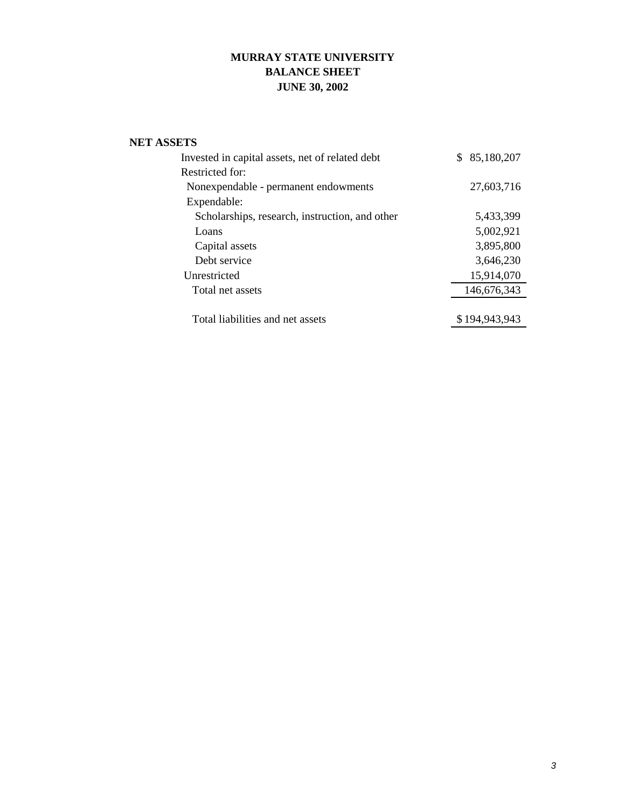# **MURRAY STATE UNIVERSITY BALANCE SHEET JUNE 30, 2002**

# **NET ASSETS**

| Invested in capital assets, net of related debt | S | 85,180,207    |
|-------------------------------------------------|---|---------------|
| Restricted for:                                 |   |               |
| Nonexpendable - permanent endowments            |   | 27,603,716    |
| Expendable:                                     |   |               |
| Scholarships, research, instruction, and other  |   | 5,433,399     |
| Loans                                           |   | 5,002,921     |
| Capital assets                                  |   | 3,895,800     |
| Debt service                                    |   | 3,646,230     |
| Unrestricted                                    |   | 15,914,070    |
| Total net assets                                |   | 146,676,343   |
|                                                 |   |               |
| Total liabilities and net assets                |   | \$194,943,943 |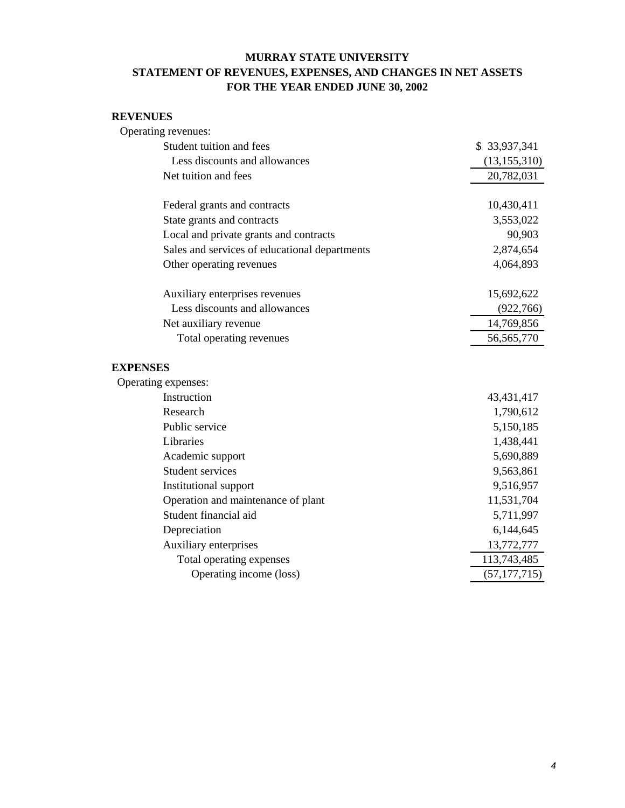# **MURRAY STATE UNIVERSITY STATEMENT OF REVENUES, EXPENSES, AND CHANGES IN NET ASSETS FOR THE YEAR ENDED JUNE 30, 2002**

# **REVENUES**

| Operating revenues:                                                                     |                |
|-----------------------------------------------------------------------------------------|----------------|
| Student tuition and fees                                                                | \$33,937,341   |
| Less discounts and allowances                                                           | (13, 155, 310) |
| Net tuition and fees                                                                    | 20,782,031     |
|                                                                                         | 10,430,411     |
| Federal grants and contracts                                                            | 3,553,022      |
| State grants and contracts                                                              | 90,903         |
| Local and private grants and contracts<br>Sales and services of educational departments | 2,874,654      |
| Other operating revenues                                                                | 4,064,893      |
|                                                                                         |                |
| Auxiliary enterprises revenues                                                          | 15,692,622     |
| Less discounts and allowances                                                           | (922, 766)     |
| Net auxiliary revenue                                                                   | 14,769,856     |
| Total operating revenues                                                                | 56, 565, 770   |
| <b>EXPENSES</b>                                                                         |                |
| Operating expenses:                                                                     |                |
| Instruction                                                                             | 43,431,417     |
| Research                                                                                | 1,790,612      |
| Public service                                                                          | 5,150,185      |
| Libraries                                                                               | 1,438,441      |
| Academic support                                                                        | 5,690,889      |
| <b>Student services</b>                                                                 | 9,563,861      |
| Institutional support                                                                   | 9,516,957      |
| Operation and maintenance of plant                                                      | 11,531,704     |
| Student financial aid                                                                   | 5,711,997      |
| Depreciation                                                                            | 6,144,645      |
| Auxiliary enterprises                                                                   | 13,772,777     |
| Total operating expenses                                                                | 113,743,485    |
| Operating income (loss)                                                                 | (57, 177, 715) |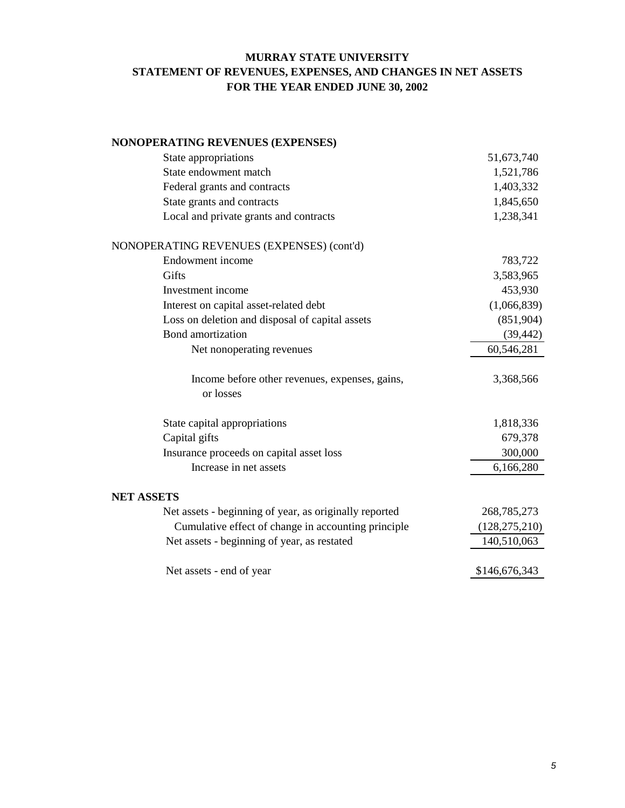# **MURRAY STATE UNIVERSITY STATEMENT OF REVENUES, EXPENSES, AND CHANGES IN NET ASSETS FOR THE YEAR ENDED JUNE 30, 2002**

| <b>NONOPERATING REVENUES (EXPENSES)</b>                     |                 |
|-------------------------------------------------------------|-----------------|
| State appropriations                                        | 51,673,740      |
| State endowment match                                       | 1,521,786       |
| Federal grants and contracts                                | 1,403,332       |
| State grants and contracts                                  | 1,845,650       |
| Local and private grants and contracts                      | 1,238,341       |
| NONOPERATING REVENUES (EXPENSES) (cont'd)                   |                 |
| Endowment income                                            | 783,722         |
| Gifts                                                       | 3,583,965       |
| Investment income                                           | 453,930         |
| Interest on capital asset-related debt                      | (1,066,839)     |
| Loss on deletion and disposal of capital assets             | (851,904)       |
| Bond amortization                                           | (39, 442)       |
| Net nonoperating revenues                                   | 60,546,281      |
| Income before other revenues, expenses, gains,<br>or losses | 3,368,566       |
| State capital appropriations                                | 1,818,336       |
| Capital gifts                                               | 679,378         |
| Insurance proceeds on capital asset loss                    | 300,000         |
| Increase in net assets                                      | 6,166,280       |
| <b>NET ASSETS</b>                                           |                 |
| Net assets - beginning of year, as originally reported      | 268,785,273     |
| Cumulative effect of change in accounting principle         | (128, 275, 210) |
| Net assets - beginning of year, as restated                 | 140,510,063     |
| Net assets - end of year                                    | \$146,676,343   |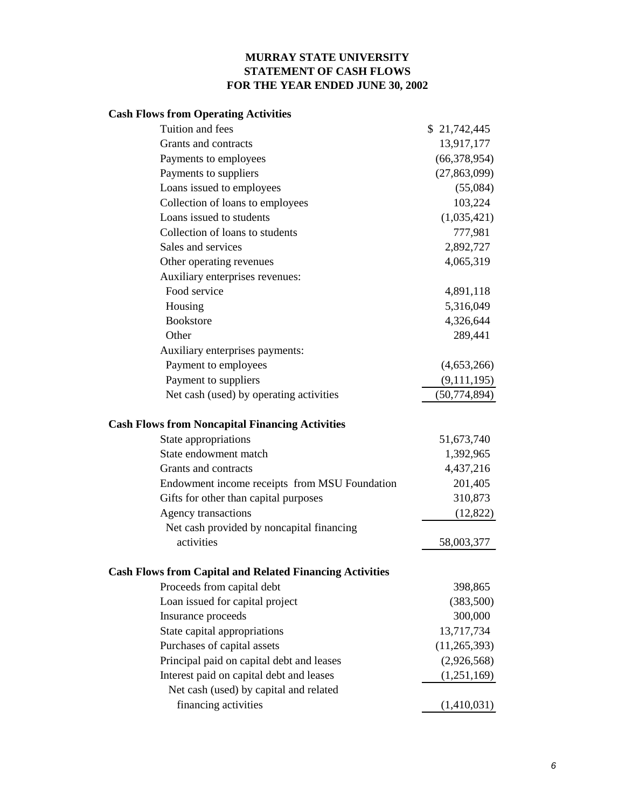# **STATEMENT OF CASH FLOWS FOR THE YEAR ENDED JUNE 30, 2002 MURRAY STATE UNIVERSITY**

# **Cash Flows from Operating Activities**

| Tuition and fees                                       |                                                                 | \$21,742,445   |
|--------------------------------------------------------|-----------------------------------------------------------------|----------------|
| Grants and contracts                                   |                                                                 | 13,917,177     |
| Payments to employees                                  |                                                                 | (66,378,954)   |
| Payments to suppliers                                  |                                                                 | (27, 863, 099) |
| Loans issued to employees                              |                                                                 | (55,084)       |
| Collection of loans to employees                       |                                                                 | 103,224        |
| Loans issued to students                               |                                                                 | (1,035,421)    |
| Collection of loans to students                        |                                                                 | 777,981        |
| Sales and services                                     |                                                                 | 2,892,727      |
| Other operating revenues                               |                                                                 | 4,065,319      |
| Auxiliary enterprises revenues:                        |                                                                 |                |
| Food service                                           |                                                                 | 4,891,118      |
| Housing                                                |                                                                 | 5,316,049      |
| <b>Bookstore</b>                                       |                                                                 | 4,326,644      |
| Other                                                  |                                                                 | 289,441        |
| Auxiliary enterprises payments:                        |                                                                 |                |
| Payment to employees                                   |                                                                 | (4,653,266)    |
| Payment to suppliers                                   |                                                                 | (9,111,195)    |
|                                                        | Net cash (used) by operating activities                         | (50, 774, 894) |
|                                                        |                                                                 |                |
| <b>Cash Flows from Noncapital Financing Activities</b> |                                                                 |                |
| State appropriations                                   |                                                                 | 51,673,740     |
| State endowment match                                  |                                                                 | 1,392,965      |
| Grants and contracts                                   |                                                                 | 4,437,216      |
|                                                        | Endowment income receipts from MSU Foundation                   | 201,405        |
|                                                        | Gifts for other than capital purposes                           | 310,873        |
| Agency transactions                                    |                                                                 | (12, 822)      |
|                                                        | Net cash provided by noncapital financing                       |                |
| activities                                             |                                                                 | 58,003,377     |
|                                                        | <b>Cash Flows from Capital and Related Financing Activities</b> |                |
| Proceeds from capital debt                             |                                                                 | 398,865        |
| Loan issued for capital project                        |                                                                 | (383,500)      |
| Insurance proceeds                                     |                                                                 | 300,000        |
| State capital appropriations                           |                                                                 | 13,717,734     |
| Purchases of capital assets                            |                                                                 | (11, 265, 393) |
|                                                        | Principal paid on capital debt and leases                       | (2,926,568)    |
|                                                        | Interest paid on capital debt and leases                        | (1,251,169)    |
|                                                        | Net cash (used) by capital and related                          |                |
| financing activities                                   |                                                                 | (1,410,031)    |
|                                                        |                                                                 |                |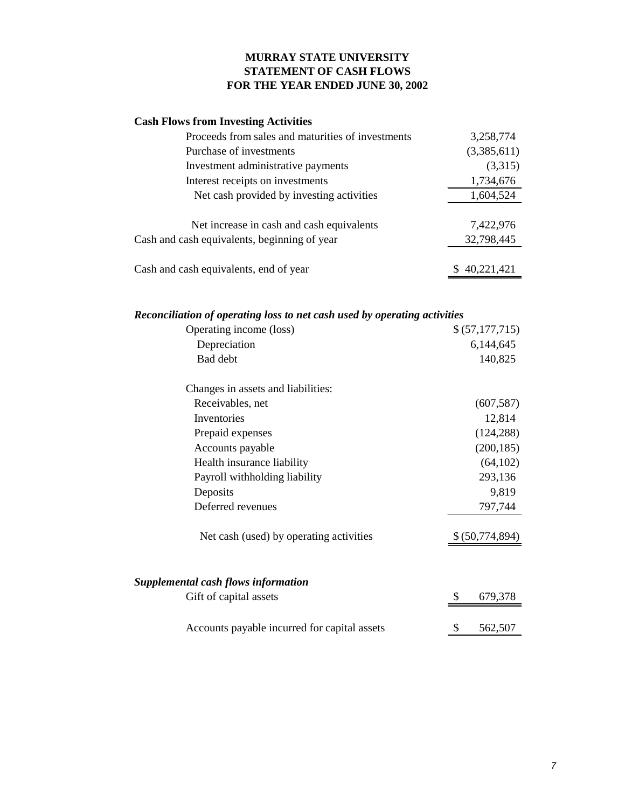# **STATEMENT OF CASH FLOWS FOR THE YEAR ENDED JUNE 30, 2002 MURRAY STATE UNIVERSITY**

# **Cash Flows from Investing Activities**

| Proceeds from sales and maturities of investments | 3,258,774   |
|---------------------------------------------------|-------------|
| Purchase of investments                           | (3,385,611) |
| Investment administrative payments                | (3,315)     |
| Interest receipts on investments                  | 1,734,676   |
| Net cash provided by investing activities         | 1,604,524   |
|                                                   |             |
| Net increase in cash and cash equivalents         | 7,422,976   |
| Cash and cash equivalents, beginning of year      | 32,798,445  |
| Cash and cash equivalents, end of year            | 40,221,421  |

# *Reconciliation of operating loss to net cash used by operating activities*

| Operating income (loss)                      | \$ (57,177,715) |
|----------------------------------------------|-----------------|
| Depreciation                                 | 6,144,645       |
| Bad debt                                     | 140,825         |
| Changes in assets and liabilities:           |                 |
| Receivables, net                             | (607, 587)      |
| Inventories                                  | 12,814          |
| Prepaid expenses                             | (124, 288)      |
| Accounts payable                             | (200, 185)      |
| Health insurance liability                   | (64, 102)       |
| Payroll withholding liability                | 293,136         |
| Deposits                                     | 9,819           |
| Deferred revenues                            | 797,744         |
| Net cash (used) by operating activities      | \$(50,774,894)  |
| <b>Supplemental cash flows information</b>   |                 |
| Gift of capital assets                       | \$<br>679,378   |
|                                              |                 |
| Accounts payable incurred for capital assets | \$<br>562,507   |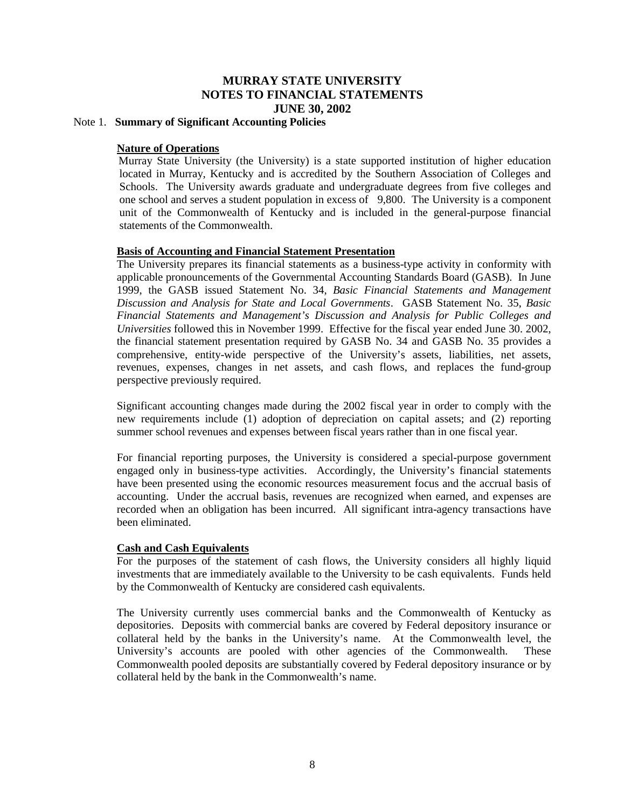#### Note 1. **Summary of Significant Accounting Policies**

#### **Nature of Operations**

 Murray State University (the University) is a state supported institution of higher education located in Murray, Kentucky and is accredited by the Southern Association of Colleges and Schools. The University awards graduate and undergraduate degrees from five colleges and one school and serves a student population in excess of 9,800. The University is a component unit of the Commonwealth of Kentucky and is included in the general-purpose financial statements of the Commonwealth.

#### **Basis of Accounting and Financial Statement Presentation**

The University prepares its financial statements as a business-type activity in conformity with applicable pronouncements of the Governmental Accounting Standards Board (GASB). In June 1999, the GASB issued Statement No. 34, *Basic Financial Statements and Management Discussion and Analysis for State and Local Governments*. GASB Statement No. 35, *Basic Financial Statements and Management's Discussion and Analysis for Public Colleges and Universities* followed this in November 1999. Effective for the fiscal year ended June 30. 2002, the financial statement presentation required by GASB No. 34 and GASB No. 35 provides a comprehensive, entity-wide perspective of the University's assets, liabilities, net assets, revenues, expenses, changes in net assets, and cash flows, and replaces the fund-group perspective previously required.

Significant accounting changes made during the 2002 fiscal year in order to comply with the new requirements include (1) adoption of depreciation on capital assets; and (2) reporting summer school revenues and expenses between fiscal years rather than in one fiscal year.

For financial reporting purposes, the University is considered a special-purpose government engaged only in business-type activities. Accordingly, the University's financial statements have been presented using the economic resources measurement focus and the accrual basis of accounting. Under the accrual basis, revenues are recognized when earned, and expenses are recorded when an obligation has been incurred. All significant intra-agency transactions have been eliminated.

#### **Cash and Cash Equivalents**

For the purposes of the statement of cash flows, the University considers all highly liquid investments that are immediately available to the University to be cash equivalents. Funds held by the Commonwealth of Kentucky are considered cash equivalents.

The University currently uses commercial banks and the Commonwealth of Kentucky as depositories. Deposits with commercial banks are covered by Federal depository insurance or collateral held by the banks in the University's name. At the Commonwealth level, the University's accounts are pooled with other agencies of the Commonwealth. These Commonwealth pooled deposits are substantially covered by Federal depository insurance or by collateral held by the bank in the Commonwealth's name.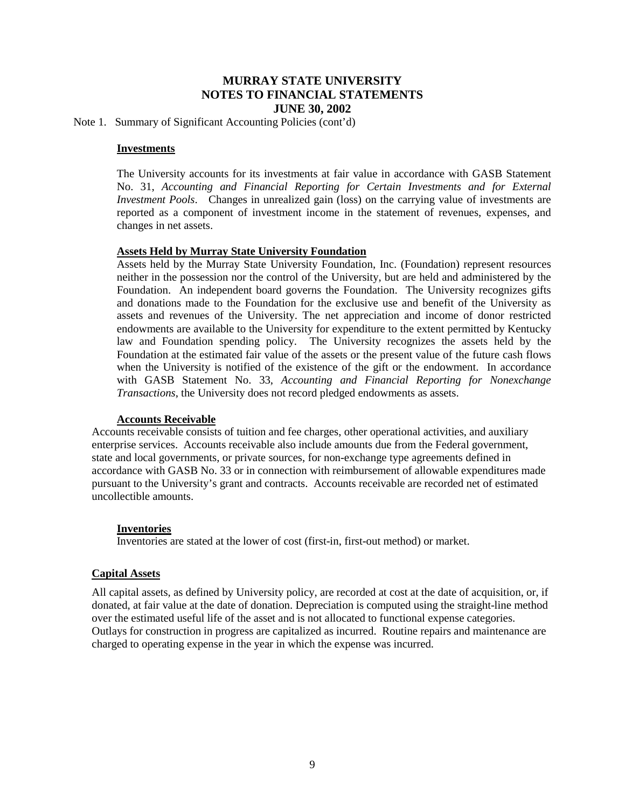Note 1. Summary of Significant Accounting Policies (cont'd)

#### **Investments**

The University accounts for its investments at fair value in accordance with GASB Statement No. 31, *Accounting and Financial Reporting for Certain Investments and for External Investment Pools*. Changes in unrealized gain (loss) on the carrying value of investments are reported as a component of investment income in the statement of revenues, expenses, and changes in net assets.

### **Assets Held by Murray State University Foundation**

Assets held by the Murray State University Foundation, Inc. (Foundation) represent resources neither in the possession nor the control of the University, but are held and administered by the Foundation. An independent board governs the Foundation. The University recognizes gifts and donations made to the Foundation for the exclusive use and benefit of the University as assets and revenues of the University. The net appreciation and income of donor restricted endowments are available to the University for expenditure to the extent permitted by Kentucky law and Foundation spending policy. The University recognizes the assets held by the Foundation at the estimated fair value of the assets or the present value of the future cash flows when the University is notified of the existence of the gift or the endowment. In accordance with GASB Statement No. 33, *Accounting and Financial Reporting for Nonexchange Transactions*, the University does not record pledged endowments as assets.

#### **Accounts Receivable**

Accounts receivable consists of tuition and fee charges, other operational activities, and auxiliary enterprise services. Accounts receivable also include amounts due from the Federal government, state and local governments, or private sources, for non-exchange type agreements defined in accordance with GASB No. 33 or in connection with reimbursement of allowable expenditures made pursuant to the University's grant and contracts. Accounts receivable are recorded net of estimated uncollectible amounts.

#### **Inventories**

Inventories are stated at the lower of cost (first-in, first-out method) or market.

### **Capital Assets**

All capital assets, as defined by University policy, are recorded at cost at the date of acquisition, or, if donated, at fair value at the date of donation. Depreciation is computed using the straight-line method over the estimated useful life of the asset and is not allocated to functional expense categories. Outlays for construction in progress are capitalized as incurred. Routine repairs and maintenance are charged to operating expense in the year in which the expense was incurred.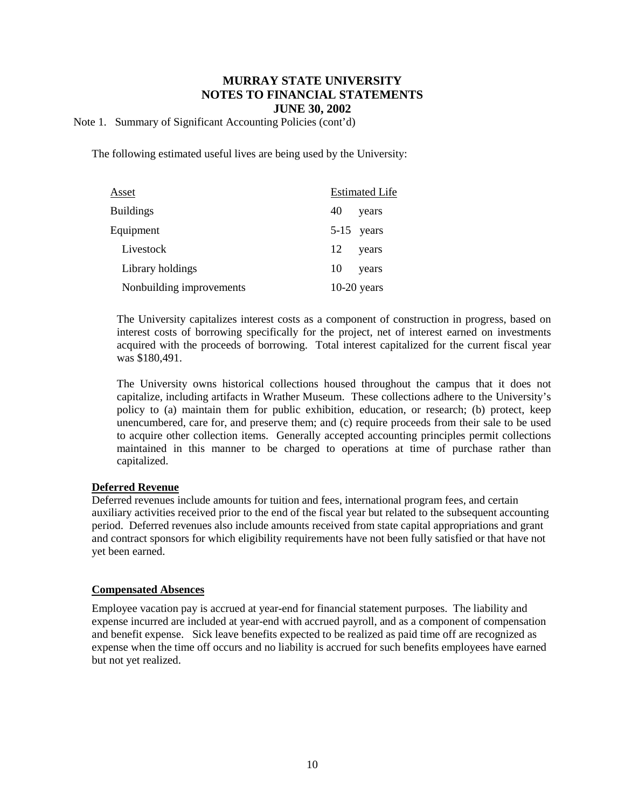Note 1. Summary of Significant Accounting Policies (cont'd)

The following estimated useful lives are being used by the University:

| Asset                    | <b>Estimated Life</b> |               |
|--------------------------|-----------------------|---------------|
| <b>Buildings</b>         | 40                    | years         |
| Equipment                |                       | $5-15$ years  |
| Livestock                | 12                    | years         |
| Library holdings         | 10                    | years         |
| Nonbuilding improvements |                       | $10-20$ years |

The University capitalizes interest costs as a component of construction in progress, based on interest costs of borrowing specifically for the project, net of interest earned on investments acquired with the proceeds of borrowing. Total interest capitalized for the current fiscal year was \$180,491.

The University owns historical collections housed throughout the campus that it does not capitalize, including artifacts in Wrather Museum. These collections adhere to the University's policy to (a) maintain them for public exhibition, education, or research; (b) protect, keep unencumbered, care for, and preserve them; and (c) require proceeds from their sale to be used to acquire other collection items. Generally accepted accounting principles permit collections maintained in this manner to be charged to operations at time of purchase rather than capitalized.

### **Deferred Revenue**

Deferred revenues include amounts for tuition and fees, international program fees, and certain auxiliary activities received prior to the end of the fiscal year but related to the subsequent accounting period. Deferred revenues also include amounts received from state capital appropriations and grant and contract sponsors for which eligibility requirements have not been fully satisfied or that have not yet been earned.

### **Compensated Absences**

Employee vacation pay is accrued at year-end for financial statement purposes. The liability and expense incurred are included at year-end with accrued payroll, and as a component of compensation and benefit expense. Sick leave benefits expected to be realized as paid time off are recognized as expense when the time off occurs and no liability is accrued for such benefits employees have earned but not yet realized.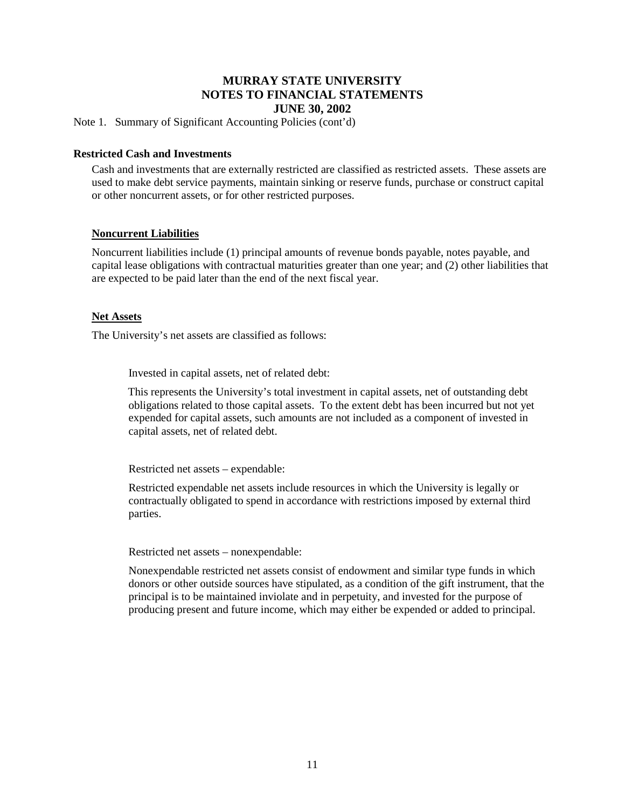Note 1. Summary of Significant Accounting Policies (cont'd)

#### **Restricted Cash and Investments**

Cash and investments that are externally restricted are classified as restricted assets. These assets are used to make debt service payments, maintain sinking or reserve funds, purchase or construct capital or other noncurrent assets, or for other restricted purposes.

### **Noncurrent Liabilities**

Noncurrent liabilities include (1) principal amounts of revenue bonds payable, notes payable, and capital lease obligations with contractual maturities greater than one year; and (2) other liabilities that are expected to be paid later than the end of the next fiscal year.

#### **Net Assets**

The University's net assets are classified as follows:

Invested in capital assets, net of related debt:

 This represents the University's total investment in capital assets, net of outstanding debt obligations related to those capital assets. To the extent debt has been incurred but not yet expended for capital assets, such amounts are not included as a component of invested in capital assets, net of related debt.

Restricted net assets – expendable:

Restricted expendable net assets include resources in which the University is legally or contractually obligated to spend in accordance with restrictions imposed by external third parties.

Restricted net assets – nonexpendable:

Nonexpendable restricted net assets consist of endowment and similar type funds in which donors or other outside sources have stipulated, as a condition of the gift instrument, that the principal is to be maintained inviolate and in perpetuity, and invested for the purpose of producing present and future income, which may either be expended or added to principal.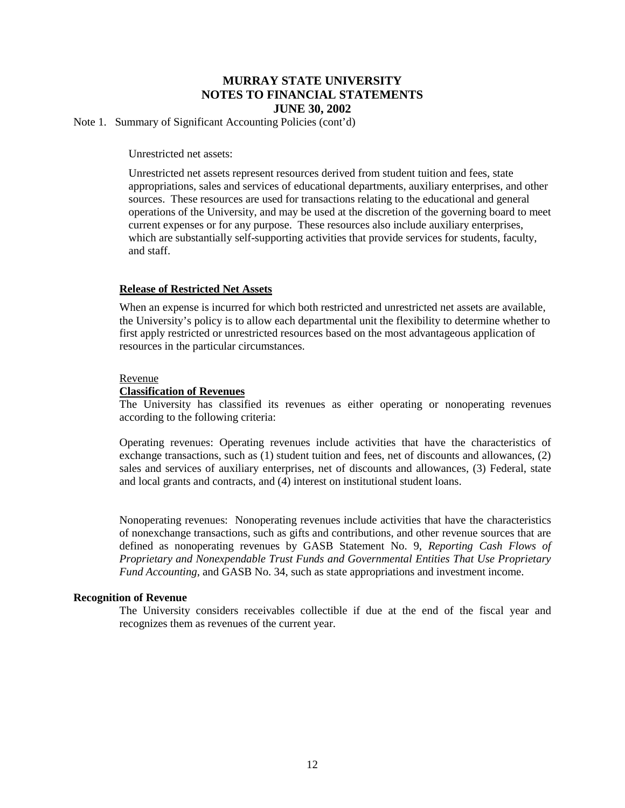Note 1. Summary of Significant Accounting Policies (cont'd)

Unrestricted net assets:

Unrestricted net assets represent resources derived from student tuition and fees, state appropriations, sales and services of educational departments, auxiliary enterprises, and other sources. These resources are used for transactions relating to the educational and general operations of the University, and may be used at the discretion of the governing board to meet current expenses or for any purpose. These resources also include auxiliary enterprises, which are substantially self-supporting activities that provide services for students, faculty, and staff.

### **Release of Restricted Net Assets**

When an expense is incurred for which both restricted and unrestricted net assets are available, the University's policy is to allow each departmental unit the flexibility to determine whether to first apply restricted or unrestricted resources based on the most advantageous application of resources in the particular circumstances.

#### Revenue

#### **Classification of Revenues**

The University has classified its revenues as either operating or nonoperating revenues according to the following criteria:

Operating revenues: Operating revenues include activities that have the characteristics of exchange transactions, such as (1) student tuition and fees, net of discounts and allowances, (2) sales and services of auxiliary enterprises, net of discounts and allowances, (3) Federal, state and local grants and contracts, and (4) interest on institutional student loans.

Nonoperating revenues: Nonoperating revenues include activities that have the characteristics of nonexchange transactions, such as gifts and contributions, and other revenue sources that are defined as nonoperating revenues by GASB Statement No. 9, *Reporting Cash Flows of Proprietary and Nonexpendable Trust Funds and Governmental Entities That Use Proprietary Fund Accounting*, and GASB No. 34, such as state appropriations and investment income.

#### **Recognition of Revenue**

The University considers receivables collectible if due at the end of the fiscal year and recognizes them as revenues of the current year.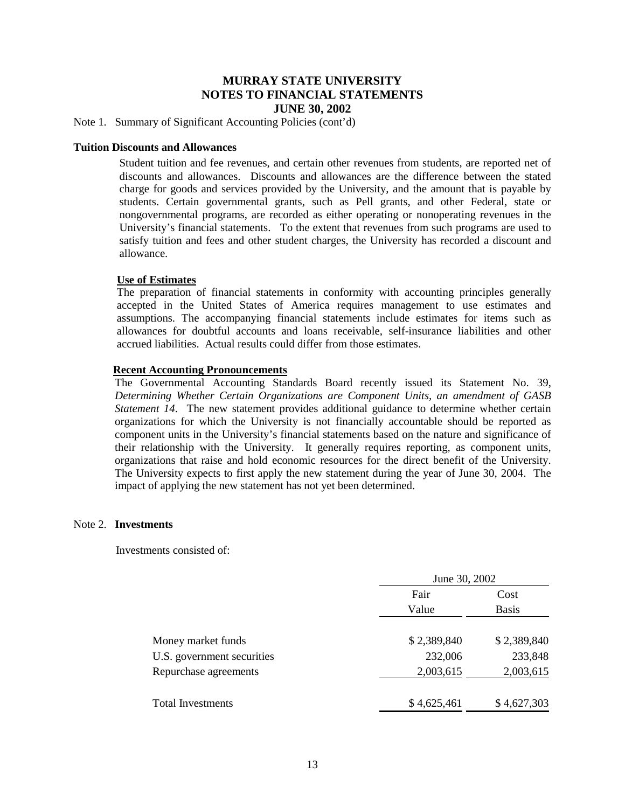Note 1. Summary of Significant Accounting Policies (cont'd)

#### **Tuition Discounts and Allowances**

Student tuition and fee revenues, and certain other revenues from students, are reported net of discounts and allowances. Discounts and allowances are the difference between the stated charge for goods and services provided by the University, and the amount that is payable by students. Certain governmental grants, such as Pell grants, and other Federal, state or nongovernmental programs, are recorded as either operating or nonoperating revenues in the University's financial statements. To the extent that revenues from such programs are used to satisfy tuition and fees and other student charges, the University has recorded a discount and allowance.

#### **Use of Estimates**

The preparation of financial statements in conformity with accounting principles generally accepted in the United States of America requires management to use estimates and assumptions. The accompanying financial statements include estimates for items such as allowances for doubtful accounts and loans receivable, self-insurance liabilities and other accrued liabilities. Actual results could differ from those estimates.

#### **Recent Accounting Pronouncements**

The Governmental Accounting Standards Board recently issued its Statement No. 39, *Determining Whether Certain Organizations are Component Units, an amendment of GASB Statement 14*. The new statement provides additional guidance to determine whether certain organizations for which the University is not financially accountable should be reported as component units in the University's financial statements based on the nature and significance of their relationship with the University. It generally requires reporting, as component units, organizations that raise and hold economic resources for the direct benefit of the University. The University expects to first apply the new statement during the year of June 30, 2004. The impact of applying the new statement has not yet been determined.

#### Note 2. **Investments**

Investments consisted of:

|                            | June 30, 2002 |              |
|----------------------------|---------------|--------------|
|                            | Fair          | Cost         |
|                            | Value         | <b>Basis</b> |
| Money market funds         | \$2,389,840   | \$2,389,840  |
| U.S. government securities | 232,006       | 233,848      |
| Repurchase agreements      | 2,003,615     | 2,003,615    |
| <b>Total Investments</b>   | \$4,625,461   | \$4,627,303  |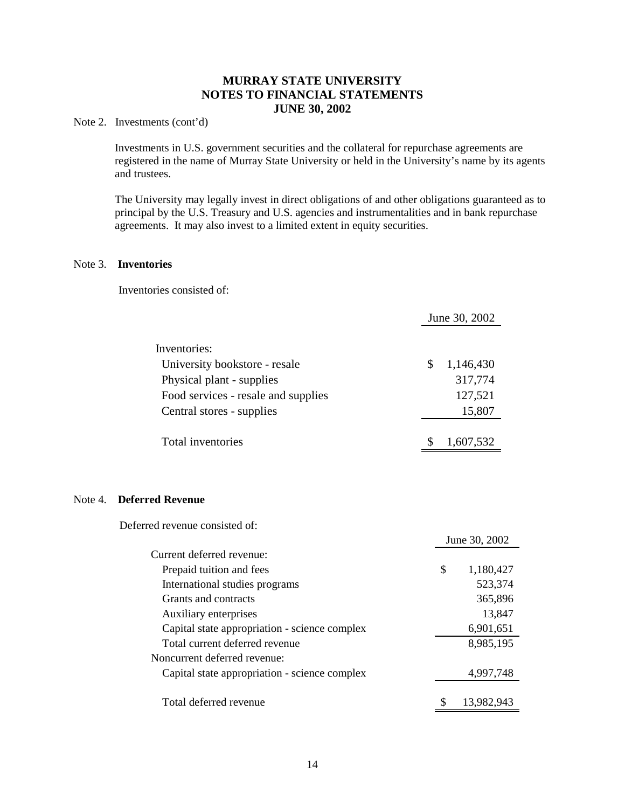Note 2. Investments (cont'd)

Investments in U.S. government securities and the collateral for repurchase agreements are registered in the name of Murray State University or held in the University's name by its agents and trustees.

The University may legally invest in direct obligations of and other obligations guaranteed as to principal by the U.S. Treasury and U.S. agencies and instrumentalities and in bank repurchase agreements. It may also invest to a limited extent in equity securities.

### Note 3. **Inventories**

Inventories consisted of:

|                                     |   | June 30, 2002 |
|-------------------------------------|---|---------------|
| Inventories:                        |   |               |
| University bookstore - resale       | S | 1,146,430     |
| Physical plant - supplies           |   | 317,774       |
| Food services - resale and supplies |   | 127,521       |
| Central stores - supplies           |   | 15,807        |
|                                     |   |               |
| Total inventories                   |   | 1,607,532     |

# Note 4. **Deferred Revenue**

Deferred revenue consisted of:

|                                               | June 30, 2002 |            |  |
|-----------------------------------------------|---------------|------------|--|
| Current deferred revenue:                     |               |            |  |
| Prepaid tuition and fees                      | \$            | 1,180,427  |  |
| International studies programs                |               | 523,374    |  |
| Grants and contracts                          |               | 365,896    |  |
| Auxiliary enterprises                         |               | 13,847     |  |
| Capital state appropriation - science complex |               | 6,901,651  |  |
| Total current deferred revenue                |               | 8,985,195  |  |
| Noncurrent deferred revenue:                  |               |            |  |
| Capital state appropriation - science complex |               | 4,997,748  |  |
|                                               |               |            |  |
| Total deferred revenue                        |               | 13.982.943 |  |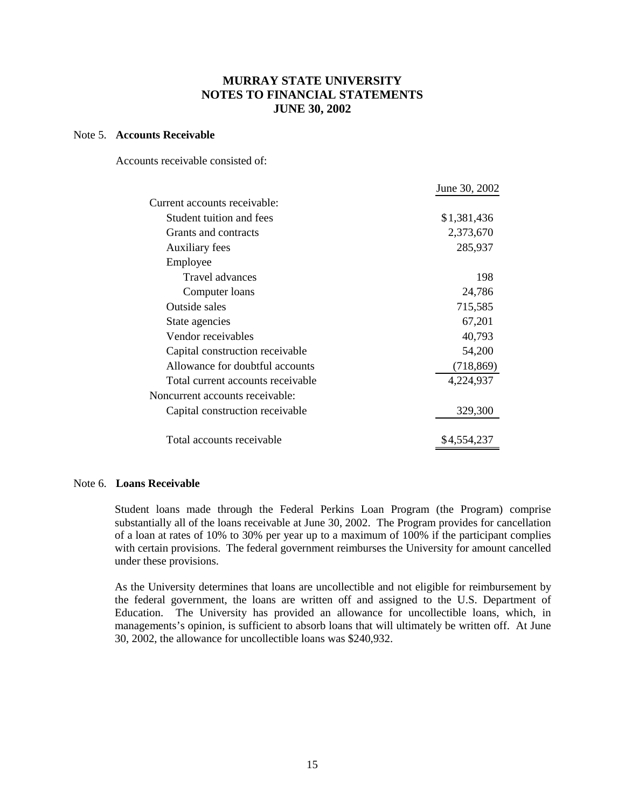### Note 5. **Accounts Receivable**

Accounts receivable consisted of:

|                                   | June 30, 2002 |
|-----------------------------------|---------------|
| Current accounts receivable:      |               |
| Student tuition and fees          | \$1,381,436   |
| Grants and contracts              | 2,373,670     |
| <b>Auxiliary fees</b>             | 285,937       |
| Employee                          |               |
| Travel advances                   | 198           |
| Computer loans                    | 24,786        |
| Outside sales                     | 715,585       |
| State agencies                    | 67,201        |
| Vendor receivables                | 40,793        |
| Capital construction receivable   | 54,200        |
| Allowance for doubtful accounts   | (718, 869)    |
| Total current accounts receivable | 4,224,937     |
| Noncurrent accounts receivable:   |               |
| Capital construction receivable   | 329,300       |
| Total accounts receivable         | \$4,554,237   |

#### Note 6. **Loans Receivable**

Student loans made through the Federal Perkins Loan Program (the Program) comprise substantially all of the loans receivable at June 30, 2002. The Program provides for cancellation of a loan at rates of 10% to 30% per year up to a maximum of 100% if the participant complies with certain provisions. The federal government reimburses the University for amount cancelled under these provisions.

As the University determines that loans are uncollectible and not eligible for reimbursement by the federal government, the loans are written off and assigned to the U.S. Department of Education. The University has provided an allowance for uncollectible loans, which, in managements's opinion, is sufficient to absorb loans that will ultimately be written off. At June 30, 2002, the allowance for uncollectible loans was \$240,932.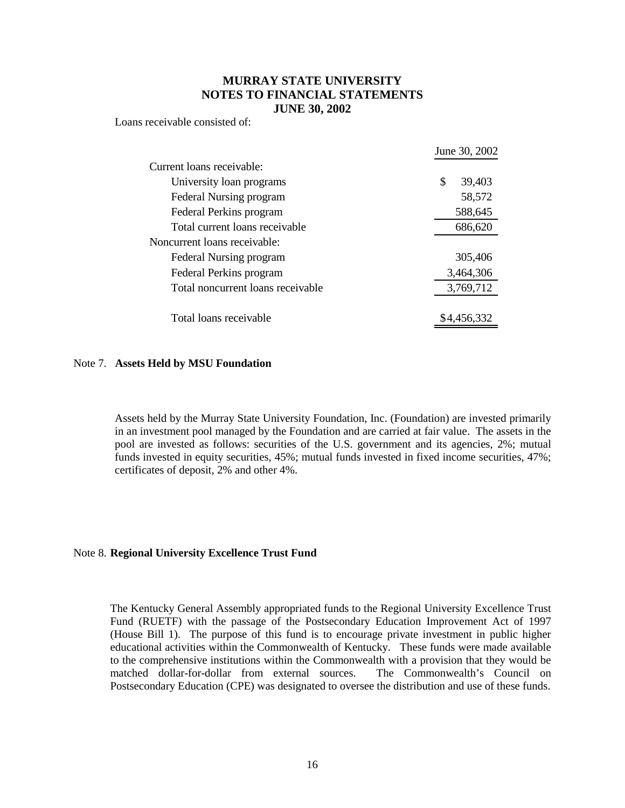Loans receivable consisted of

|                                   | June 30, 2002 |
|-----------------------------------|---------------|
| Current loans receivable:         |               |
| University loan programs          | \$<br>39,403  |
| Federal Nursing program           | 58,572        |
| Federal Perkins program           | 588,645       |
| Total current loans receivable    | 686,620       |
| Noncurrent loans receivable:      |               |
| Federal Nursing program           | 305,406       |
| Federal Perkins program           | 3,464,306     |
| Total noncurrent loans receivable | 3,769,712     |
|                                   |               |
| Total loans receivable            | \$4.456.332   |

#### Note 7. **Assets Held by MSU Foundation**

Assets held by the Murray State University Foundation, Inc. (Foundation) are invested primarily in an investment pool managed by the Foundation and are carried at fair value. The assets in the pool are invested as follows: securities of the U.S. government and its agencies, 2%; mutual funds invested in equity securities, 45%; mutual funds invested in fixed income securities, 47%; certificates of deposit, 2% and other 4%.

#### Note 8. **Regional University Excellence Trust Fund**

The Kentucky General Assembly appropriated funds to the Regional University Excellence Trust Fund (RUETF) with the passage of the Postsecondary Education Improvement Act of 1997 (House Bill 1). The purpose of this fund is to encourage private investment in public higher educational activities within the Commonwealth of Kentucky. These funds were made available to the comprehensive institutions within the Commonwealth with a provision that they would be matched dollar-for-dollar from external sources. The Commonwealth's Council on Postsecondary Education (CPE) was designated to oversee the distribution and use of these funds.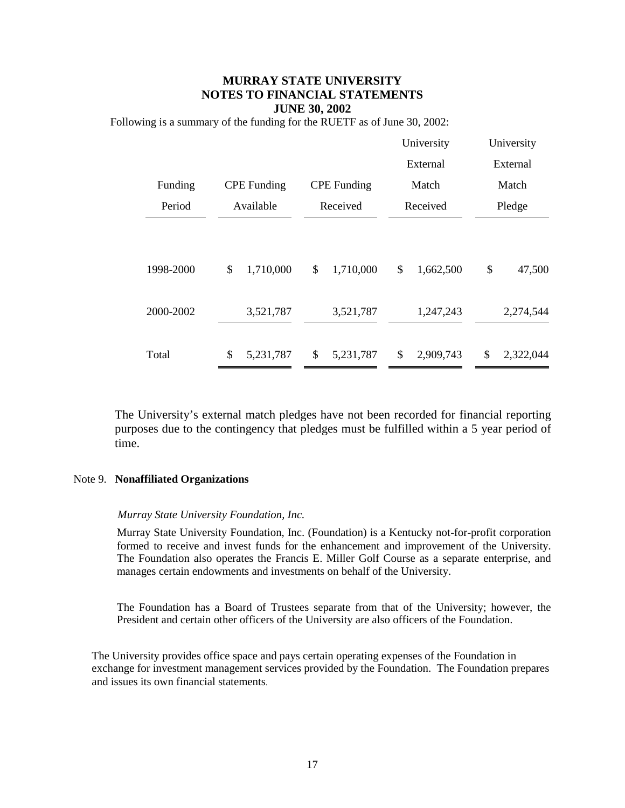Following is a summary of the funding for the RUETF as of June 30, 2002:

|           |           |                    |          |                    | University           |           | University      |
|-----------|-----------|--------------------|----------|--------------------|----------------------|-----------|-----------------|
|           |           |                    | External |                    | External             |           |                 |
| Funding   |           | <b>CPE</b> Funding |          | <b>CPE</b> Funding |                      | Match     | Match           |
| Period    | Available |                    |          |                    | Received<br>Received |           | Pledge          |
| 1998-2000 | \$        | 1,710,000          | \$       | 1,710,000          | \$                   | 1,662,500 | \$<br>47,500    |
| 2000-2002 |           | 3,521,787          |          | 3,521,787          |                      | 1,247,243 | 2,274,544       |
| Total     | \$        | 5,231,787          | \$       | 5,231,787          | \$                   | 2,909,743 | \$<br>2,322,044 |

The University's external match pledges have not been recorded for financial reporting purposes due to the contingency that pledges must be fulfilled within a 5 year period of time.

### Note 9. **Nonaffiliated Organizations**

#### *Murray State University Foundation, Inc.*

Murray State University Foundation, Inc. (Foundation) is a Kentucky not-for-profit corporation formed to receive and invest funds for the enhancement and improvement of the University. The Foundation also operates the Francis E. Miller Golf Course as a separate enterprise, and manages certain endowments and investments on behalf of the University.

The Foundation has a Board of Trustees separate from that of the University; however, the President and certain other officers of the University are also officers of the Foundation.

The University provides office space and pays certain operating expenses of the Foundation in exchange for investment management services provided by the Foundation. The Foundation prepares and issues its own financial statements.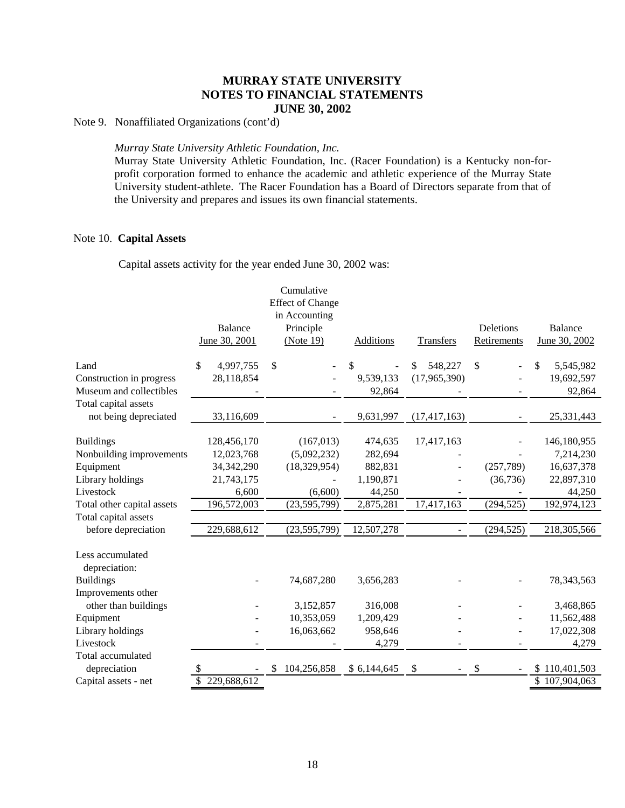Note 9. Nonaffiliated Organizations (cont'd)

#### *Murray State University Athletic Foundation, Inc.*

Murray State University Athletic Foundation, Inc. (Racer Foundation) is a Kentucky non-forprofit corporation formed to enhance the academic and athletic experience of the Murray State University student-athlete. The Racer Foundation has a Board of Directors separate from that of the University and prepares and issues its own financial statements.

#### Note 10. **Capital Assets**

Capital assets activity for the year ended June 30, 2002 was:

|                                   | <b>Balance</b><br>June 30, 2001 | Cumulative<br><b>Effect of Change</b><br>in Accounting<br>Principle<br>(Note 19) | Additions   | Transfers      | Deletions<br>Retirements | Balance<br>June 30, 2002 |
|-----------------------------------|---------------------------------|----------------------------------------------------------------------------------|-------------|----------------|--------------------------|--------------------------|
| Land                              | 4,997,755<br>\$                 | \$                                                                               | \$          | 548,227<br>\$  | \$                       | \$<br>5,545,982          |
| Construction in progress          | 28,118,854                      |                                                                                  | 9,539,133   | (17,965,390)   |                          | 19,692,597               |
| Museum and collectibles           |                                 |                                                                                  | 92,864      |                |                          | 92,864                   |
| Total capital assets              |                                 |                                                                                  |             |                |                          |                          |
| not being depreciated             | 33,116,609                      |                                                                                  | 9,631,997   | (17, 417, 163) |                          | 25,331,443               |
|                                   |                                 |                                                                                  |             |                |                          |                          |
| <b>Buildings</b>                  | 128,456,170                     | (167, 013)                                                                       | 474,635     | 17,417,163     |                          | 146,180,955              |
| Nonbuilding improvements          | 12,023,768                      | (5,092,232)                                                                      | 282,694     |                |                          | 7,214,230                |
| Equipment                         | 34, 342, 290                    | (18, 329, 954)                                                                   | 882,831     |                | (257, 789)               | 16,637,378               |
| Library holdings                  | 21,743,175                      |                                                                                  | 1,190,871   |                | (36, 736)                | 22,897,310               |
| Livestock                         | 6,600                           | (6,600)                                                                          | 44,250      |                |                          | 44,250                   |
| Total other capital assets        | 196,572,003                     | (23, 595, 799)                                                                   | 2,875,281   | 17,417,163     | (294, 525)               | 192,974,123              |
| Total capital assets              |                                 |                                                                                  |             |                |                          |                          |
| before depreciation               | 229,688,612                     | (23, 595, 799)                                                                   | 12,507,278  |                | (294, 525)               | 218,305,566              |
| Less accumulated<br>depreciation: |                                 |                                                                                  |             |                |                          |                          |
| <b>Buildings</b>                  |                                 | 74,687,280                                                                       | 3,656,283   |                |                          | 78,343,563               |
| Improvements other                |                                 |                                                                                  |             |                |                          |                          |
| other than buildings              |                                 | 3,152,857                                                                        | 316,008     |                |                          | 3,468,865                |
| Equipment                         |                                 | 10,353,059                                                                       | 1,209,429   |                |                          | 11,562,488               |
| Library holdings                  |                                 | 16,063,662                                                                       | 958,646     |                |                          | 17,022,308               |
| Livestock                         |                                 |                                                                                  | 4,279       |                |                          | 4,279                    |
| Total accumulated                 |                                 |                                                                                  |             |                |                          |                          |
| depreciation                      | \$                              | 104,256,858<br>S.                                                                | \$6,144,645 | \$             | \$                       | \$110,401,503            |
| Capital assets - net              | 229,688,612<br>\$               |                                                                                  |             |                |                          | \$107,904,063            |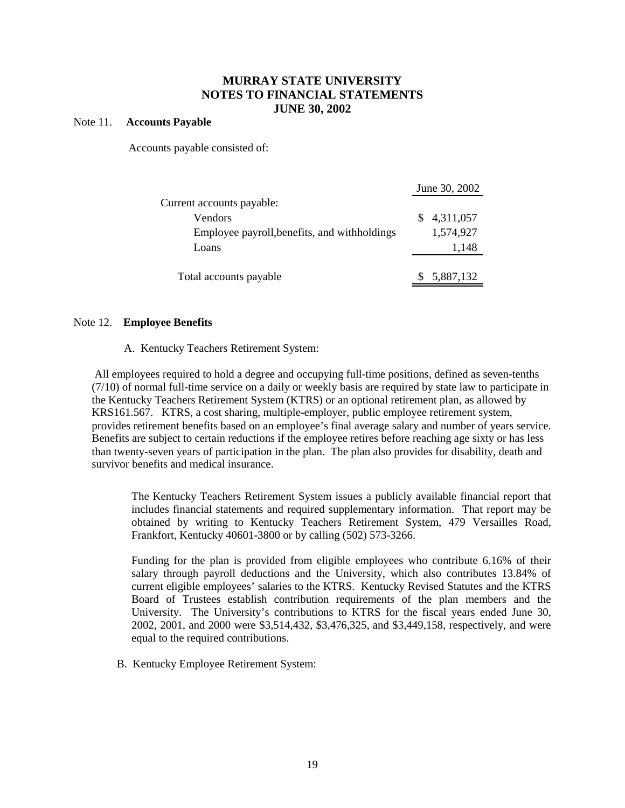#### Note 11. **Accounts Payable**

Accounts payable consisted of:

|                                              | June 30, 2002 |
|----------------------------------------------|---------------|
| Current accounts payable:                    |               |
| Vendors                                      | 4,311,057     |
| Employee payroll, benefits, and withholdings | 1,574,927     |
| Loans                                        | 1,148         |
| Total accounts payable                       | 5,887,132     |

### Note 12. **Employee Benefits**

### A. Kentucky Teachers Retirement System:

 All employees required to hold a degree and occupying full-time positions, defined as seven-tenths (7/10) of normal full-time service on a daily or weekly basis are required by state law to participate in the Kentucky Teachers Retirement System (KTRS) or an optional retirement plan, as allowed by KRS161.567. KTRS, a cost sharing, multiple-employer, public employee retirement system, provides retirement benefits based on an employee's final average salary and number of years service. Benefits are subject to certain reductions if the employee retires before reaching age sixty or has less than twenty-seven years of participation in the plan. The plan also provides for disability, death and survivor benefits and medical insurance.

The Kentucky Teachers Retirement System issues a publicly available financial report that includes financial statements and required supplementary information. That report may be obtained by writing to Kentucky Teachers Retirement System, 479 Versailles Road, Frankfort, Kentucky 40601-3800 or by calling (502) 573-3266.

Funding for the plan is provided from eligible employees who contribute 6.16% of their salary through payroll deductions and the University, which also contributes 13.84% of current eligible employees' salaries to the KTRS. Kentucky Revised Statutes and the KTRS Board of Trustees establish contribution requirements of the plan members and the University. The University's contributions to KTRS for the fiscal years ended June 30, 2002, 2001, and 2000 were \$3,514,432, \$3,476,325, and \$3,449,158, respectively, and were equal to the required contributions.

B. Kentucky Employee Retirement System: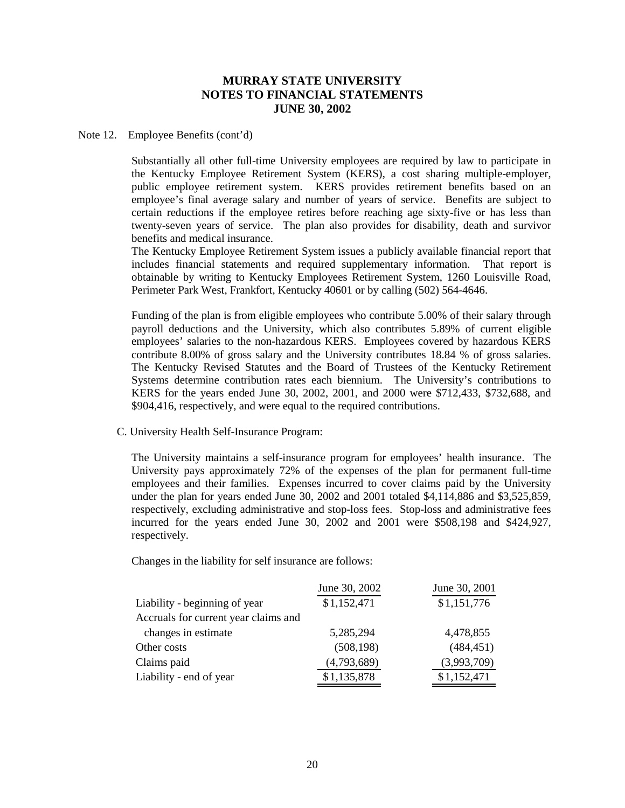#### Note 12. Employee Benefits (cont'd)

Substantially all other full-time University employees are required by law to participate in the Kentucky Employee Retirement System (KERS), a cost sharing multiple-employer, public employee retirement system. KERS provides retirement benefits based on an employee's final average salary and number of years of service. Benefits are subject to certain reductions if the employee retires before reaching age sixty-five or has less than twenty-seven years of service. The plan also provides for disability, death and survivor benefits and medical insurance.

The Kentucky Employee Retirement System issues a publicly available financial report that includes financial statements and required supplementary information. That report is obtainable by writing to Kentucky Employees Retirement System, 1260 Louisville Road, Perimeter Park West, Frankfort, Kentucky 40601 or by calling (502) 564-4646.

Funding of the plan is from eligible employees who contribute 5.00% of their salary through payroll deductions and the University, which also contributes 5.89% of current eligible employees' salaries to the non-hazardous KERS. Employees covered by hazardous KERS contribute 8.00% of gross salary and the University contributes 18.84 % of gross salaries. The Kentucky Revised Statutes and the Board of Trustees of the Kentucky Retirement Systems determine contribution rates each biennium. The University's contributions to KERS for the years ended June 30, 2002, 2001, and 2000 were \$712,433, \$732,688, and \$904,416, respectively, and were equal to the required contributions.

C. University Health Self-Insurance Program:

The University maintains a self-insurance program for employees' health insurance. The University pays approximately 72% of the expenses of the plan for permanent full-time employees and their families. Expenses incurred to cover claims paid by the University under the plan for years ended June 30, 2002 and 2001 totaled \$4,114,886 and \$3,525,859, respectively, excluding administrative and stop-loss fees. Stop-loss and administrative fees incurred for the years ended June 30, 2002 and 2001 were \$508,198 and \$424,927, respectively.

Changes in the liability for self insurance are follows:

|                                      | June 30, 2002 | June 30, 2001 |
|--------------------------------------|---------------|---------------|
| Liability - beginning of year        | \$1,152,471   | \$1,151,776   |
| Accruals for current year claims and |               |               |
| changes in estimate                  | 5,285,294     | 4,478,855     |
| Other costs                          | (508, 198)    | (484, 451)    |
| Claims paid                          | (4,793,689)   | (3,993,709)   |
| Liability - end of year              | \$1,135,878   | \$1,152,471   |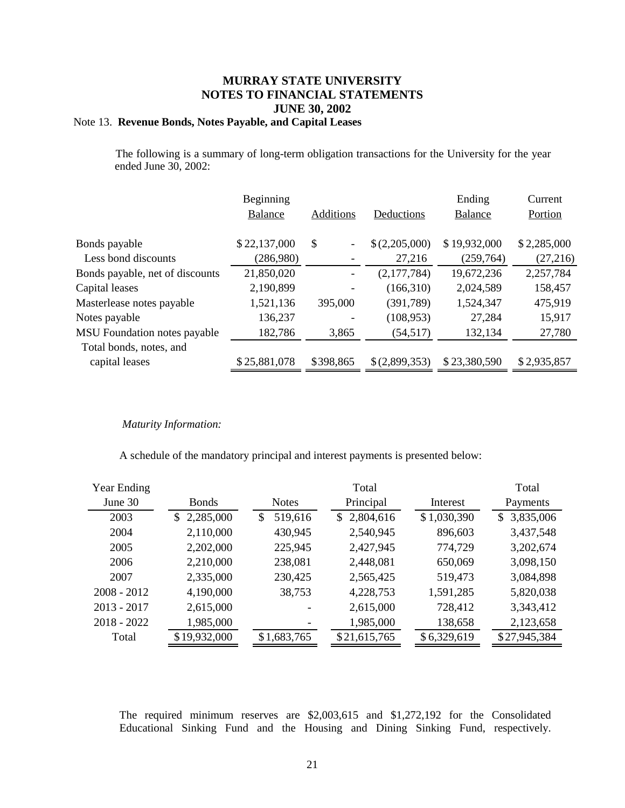# Note 13. **Revenue Bonds, Notes Payable, and Capital Leases**

 The following is a summary of long-term obligation transactions for the University for the year ended June 30, 2002:

|                                 | Beginning                   |                                           |               | Ending         | Current     |
|---------------------------------|-----------------------------|-------------------------------------------|---------------|----------------|-------------|
|                                 | <b>Balance</b><br>Additions |                                           | Deductions    | <b>Balance</b> | Portion     |
|                                 |                             |                                           |               |                |             |
| Bonds payable                   | \$22,137,000                | $\mathcal{S}$<br>$\overline{\phantom{a}}$ | \$(2,205,000) | \$19,932,000   | \$2,285,000 |
| Less bond discounts             | (286,980)                   |                                           | 27,216        | (259,764)      | (27,216)    |
| Bonds payable, net of discounts | 21,850,020                  | $\overline{\phantom{a}}$                  | (2,177,784)   | 19,672,236     | 2,257,784   |
| Capital leases                  | 2,190,899                   |                                           | (166,310)     | 2,024,589      | 158,457     |
| Masterlease notes payable       | 1,521,136                   | 395,000                                   | (391, 789)    | 1,524,347      | 475,919     |
| Notes payable                   | 136,237                     |                                           | (108, 953)    | 27,284         | 15,917      |
| MSU Foundation notes payable    | 182,786                     | 3,865                                     | (54, 517)     | 132,134        | 27,780      |
| Total bonds, notes, and         |                             |                                           |               |                |             |
| capital leases                  | \$25,881,078                | \$398,865                                 | \$(2,899,353) | \$23,380,590   | \$2,935,857 |

#### *Maturity Information:*

A schedule of the mandatory principal and interest payments is presented below:

| <b>Year Ending</b> |              |               | Total        |             | Total           |
|--------------------|--------------|---------------|--------------|-------------|-----------------|
| June 30            | <b>Bonds</b> | <b>Notes</b>  | Principal    | Interest    | Payments        |
| 2003               | \$2,285,000  | 519,616<br>\$ | \$2,804,616  | \$1,030,390 | 3,835,006<br>\$ |
| 2004               | 2,110,000    | 430,945       | 2,540,945    | 896,603     | 3,437,548       |
| 2005               | 2,202,000    | 225,945       | 2,427,945    | 774,729     | 3,202,674       |
| 2006               | 2,210,000    | 238,081       | 2,448,081    | 650,069     | 3,098,150       |
| 2007               | 2,335,000    | 230,425       | 2,565,425    | 519,473     | 3,084,898       |
| $2008 - 2012$      | 4,190,000    | 38,753        | 4,228,753    | 1,591,285   | 5,820,038       |
| $2013 - 2017$      | 2,615,000    |               | 2,615,000    | 728,412     | 3,343,412       |
| $2018 - 2022$      | 1,985,000    |               | 1,985,000    | 138,658     | 2,123,658       |
| Total              | \$19,932,000 | \$1,683,765   | \$21,615,765 | \$6,329,619 | \$27,945,384    |

The required minimum reserves are \$2,003,615 and \$1,272,192 for the Consolidated Educational Sinking Fund and the Housing and Dining Sinking Fund, respectively.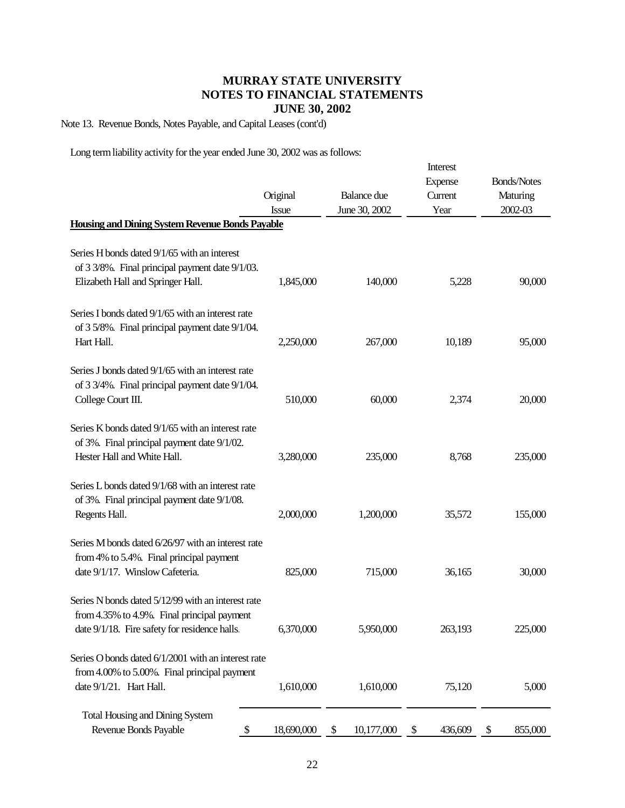Note 13. Revenue Bonds, Notes Payable, and Capital Leases (cont'd)

Long term liability activity for the year ended June 30, 2002 was as follows:

|                                                                             |            |                                         | Interest       |                    |
|-----------------------------------------------------------------------------|------------|-----------------------------------------|----------------|--------------------|
|                                                                             |            |                                         | <b>Expense</b> | <b>Bonds/Notes</b> |
|                                                                             | Original   | <b>Balance</b> due                      | Current        | Maturing           |
|                                                                             | Issue      | June 30, 2002                           | Year           | 2002-03            |
| <b>Housing and Dining System Revenue Bonds Payable</b>                      |            |                                         |                |                    |
| Series H bonds dated 9/1/65 with an interest                                |            |                                         |                |                    |
| of 3 3/8%. Final principal payment date 9/1/03.                             |            |                                         |                |                    |
| Elizabeth Hall and Springer Hall.                                           | 1,845,000  | 140,000                                 | 5,228          | 90,000             |
| Series I bonds dated 9/1/65 with an interest rate                           |            |                                         |                |                    |
| of 3 5/8%. Final principal payment date 9/1/04.                             |            |                                         |                |                    |
| Hart Hall.                                                                  | 2,250,000  | 267,000                                 | 10,189         | 95,000             |
| Series J bonds dated 9/1/65 with an interest rate                           |            |                                         |                |                    |
| of 3 3/4%. Final principal payment date 9/1/04.                             |            |                                         |                |                    |
| College Court III.                                                          | 510,000    | 60,000                                  | 2,374          | 20,000             |
| Series K bonds dated 9/1/65 with an interest rate                           |            |                                         |                |                    |
| of 3%. Final principal payment date 9/1/02.                                 |            |                                         |                |                    |
| Hester Hall and White Hall.                                                 | 3,280,000  | 235,000                                 | 8,768          | 235,000            |
| Series L bonds dated 9/1/68 with an interest rate                           |            |                                         |                |                    |
| of 3%. Final principal payment date 9/1/08.                                 |            |                                         |                |                    |
| Regents Hall.                                                               | 2,000,000  | 1,200,000                               | 35,572         | 155,000            |
| Series M bonds dated 6/26/97 with an interest rate                          |            |                                         |                |                    |
| from 4% to 5.4%. Final principal payment<br>date 9/1/17. Winslow Cafeteria. | 825,000    | 715,000                                 | 36,165         | 30,000             |
|                                                                             |            |                                         |                |                    |
| Series N bonds dated 5/12/99 with an interest rate                          |            |                                         |                |                    |
| from 4.35% to 4.9%. Final principal payment                                 |            |                                         |                |                    |
| date 9/1/18. Fire safety for residence halls.                               | 6,370,000  | 5,950,000                               | 263,193        | 225,000            |
| Series O bonds dated 6/1/2001 with an interest rate                         |            |                                         |                |                    |
| from 4.00% to 5.00%. Final principal payment                                |            |                                         |                |                    |
| date 9/1/21. Hart Hall.                                                     | 1,610,000  | 1,610,000                               | 75,120         | 5,000              |
| <b>Total Housing and Dining System</b>                                      |            |                                         |                |                    |
| Revenue Bonds Payable<br>\$                                                 | 18,690,000 | 10,177,000<br>$\boldsymbol{\mathsf{S}}$ | 436,609<br>\$  | 855,000<br>\$      |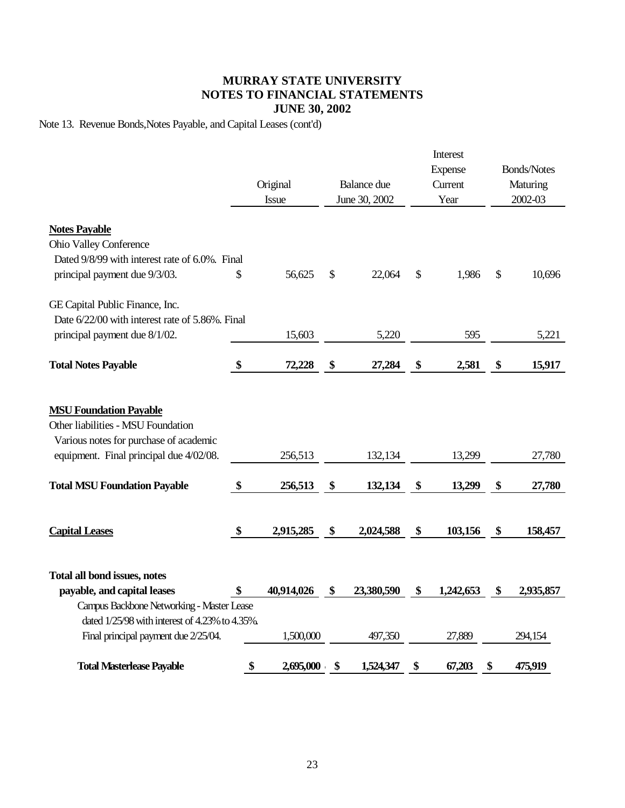Note 13. Revenue Bonds,Notes Payable, and Capital Leases (cont'd) Note 13. Revenue Bonds,Notes Payable, and Capital Leases (cont'd)

|                                                                                                                                                          | Original<br>Issue | Balance due<br>June 30, 2002 | Interest<br>Expense<br>Current<br>Year | <b>Bonds/Notes</b><br>Maturing<br>2002-03 |
|----------------------------------------------------------------------------------------------------------------------------------------------------------|-------------------|------------------------------|----------------------------------------|-------------------------------------------|
|                                                                                                                                                          |                   |                              |                                        |                                           |
| <b>Notes Payable</b><br><b>Ohio Valley Conference</b><br>Dated 9/8/99 with interest rate of 6.0%. Final<br>principal payment due 9/3/03.                 | \$<br>56,625      | \$<br>22,064                 | \$<br>1,986                            | \$<br>10,696                              |
| GE Capital Public Finance, Inc.<br>Date 6/22/00 with interest rate of 5.86%. Final                                                                       |                   |                              |                                        |                                           |
| principal payment due 8/1/02.                                                                                                                            | 15,603            | 5,220                        | 595                                    | 5,221                                     |
| <b>Total Notes Payable</b>                                                                                                                               | \$<br>72,228      | \$<br>27,284                 | \$<br>2,581                            | \$<br>15,917                              |
| <b>MSU Foundation Payable</b><br>Other liabilities - MSU Foundation<br>Various notes for purchase of academic<br>equipment. Final principal due 4/02/08. | 256,513           | 132,134                      | 13,299                                 | 27,780                                    |
| <b>Total MSU Foundation Payable</b>                                                                                                                      | \$<br>256,513     | \$<br>132,134                | \$<br>13,299                           | \$<br>27,780                              |
| <b>Capital Leases</b>                                                                                                                                    | \$<br>2,915,285   | \$<br>2,024,588              | \$<br>103,156                          | \$<br>158,457                             |
| Total all bond issues, notes<br>payable, and capital leases                                                                                              | 40,914,026        | \$<br>23,380,590             | \$<br>1,242,653                        | \$<br>2,935,857                           |
| Campus Backbone Networking - Master Lease                                                                                                                |                   |                              |                                        |                                           |
| dated 1/25/98 with interest of 4.23% to 4.35%.                                                                                                           |                   |                              |                                        |                                           |
| Final principal payment due 2/25/04.                                                                                                                     | 1,500,000         | 497,350                      | 27,889                                 | 294,154                                   |
| <b>Total Masterlease Payable</b>                                                                                                                         | \$<br>2,695,000   | \$<br>1,524,347              | \$<br>67,203                           | \$<br>475,919                             |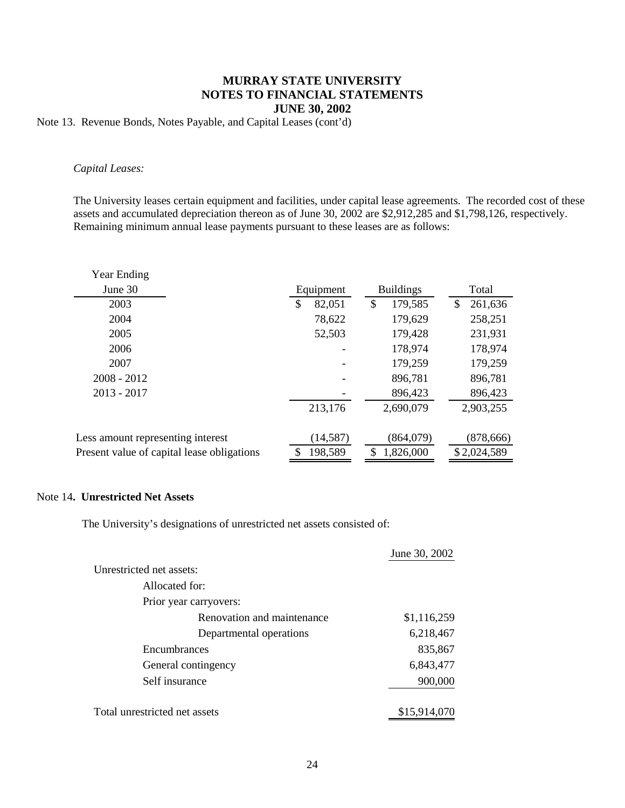Note 13. Revenue Bonds, Notes Payable, and Capital Leases (cont'd)

### *Capital Leases:*

The University leases certain equipment and facilities, under capital lease agreements. The recorded cost of these assets and accumulated depreciation thereon as of June 30, 2002 are \$2,912,285 and \$1,798,126, respectively. Remaining minimum annual lease payments pursuant to these leases are as follows:

| Year Ending                                |              |                  |               |  |
|--------------------------------------------|--------------|------------------|---------------|--|
| June 30                                    | Equipment    | <b>Buildings</b> | Total         |  |
| 2003                                       | \$<br>82,051 | \$<br>179,585    | \$<br>261,636 |  |
| 2004                                       | 78,622       | 179,629          | 258,251       |  |
| 2005                                       | 52,503       | 179,428          | 231,931       |  |
| 2006                                       |              | 178,974          | 178,974       |  |
| 2007                                       |              | 179,259          | 179,259       |  |
| $2008 - 2012$                              |              | 896,781          | 896,781       |  |
| $2013 - 2017$                              |              | 896,423          | 896,423       |  |
|                                            | 213,176      | 2,690,079        | 2,903,255     |  |
| Less amount representing interest          | (14, 587)    | (864,079)        | (878, 666)    |  |
| Present value of capital lease obligations | 198,589      | \$<br>1,826,000  | \$2,024,589   |  |

#### Note 14**. Unrestricted Net Assets**

The University's designations of unrestricted net assets consisted of:

|                               | June 30, 2002 |
|-------------------------------|---------------|
| Unrestricted net assets:      |               |
| Allocated for:                |               |
| Prior year carryovers:        |               |
| Renovation and maintenance    | \$1,116,259   |
| Departmental operations       | 6,218,467     |
| Encumbrances                  | 835,867       |
| General contingency           | 6,843,477     |
| Self insurance                | 900,000       |
| Total unrestricted net assets | \$15,914,070  |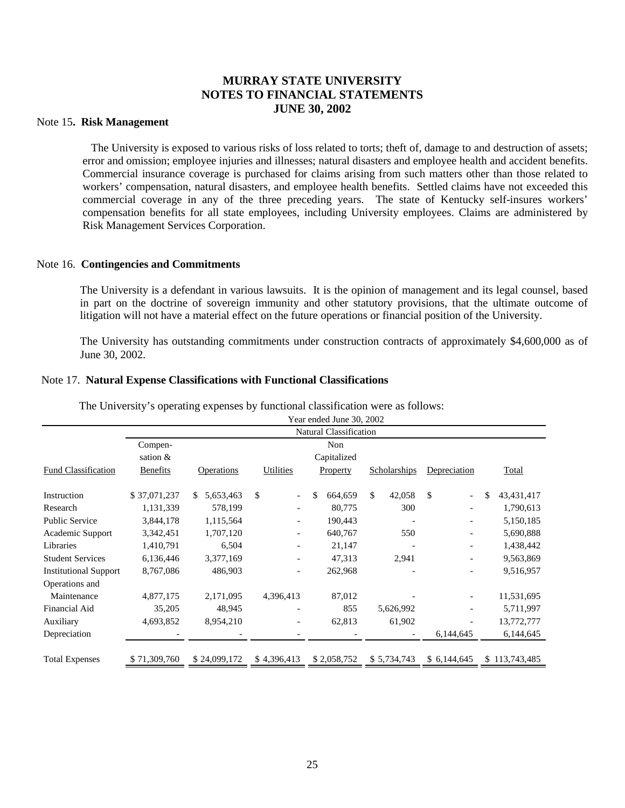#### Note 15**. Risk Management**

The University is exposed to various risks of loss related to torts; theft of, damage to and destruction of assets; error and omission; employee injuries and illnesses; natural disasters and employee health and accident benefits. Commercial insurance coverage is purchased for claims arising from such matters other than those related to workers' compensation, natural disasters, and employee health benefits. Settled claims have not exceeded this commercial coverage in any of the three preceding years. The state of Kentucky self-insures workers' compensation benefits for all state employees, including University employees. Claims are administered by Risk Management Services Corporation.

#### Note 16. **Contingencies and Commitments**

The University is a defendant in various lawsuits. It is the opinion of management and its legal counsel, based in part on the doctrine of sovereign immunity and other statutory provisions, that the ultimate outcome of litigation will not have a material effect on the future operations or financial position of the University.

The University has outstanding commitments under construction contracts of approximately \$4,600,000 as of June 30, 2002.

#### Note 17. **Natural Expense Classifications with Functional Classifications**

The University's operating expenses by functional classification were as follows:

|                              | Year ended June 30, 2002      |                  |                          |    |             |              |                              |    |               |
|------------------------------|-------------------------------|------------------|--------------------------|----|-------------|--------------|------------------------------|----|---------------|
|                              | <b>Natural Classification</b> |                  |                          |    |             |              |                              |    |               |
|                              | Compen-                       |                  |                          |    | Non         |              |                              |    |               |
|                              | sation $&$                    | Capitalized      |                          |    |             |              |                              |    |               |
| <b>Fund Classification</b>   | <b>Benefits</b>               | Operations       | Utilities                |    | Property    | Scholarships | Depreciation                 |    | Total         |
| Instruction                  | \$37,071,237                  | 5,653,463<br>\$. | \$                       | \$ | 664,659     | \$<br>42,058 | \$<br>$\overline{a}$         | \$ | 43,431,417    |
| Research                     | 1,131,339                     | 578,199          |                          |    | 80,775      | 300          | $\qquad \qquad \blacksquare$ |    | 1,790,613     |
| <b>Public Service</b>        | 3,844,178                     | 1,115,564        |                          |    | 190,443     |              | $\qquad \qquad \blacksquare$ |    | 5,150,185     |
| Academic Support             | 3,342,451                     | 1,707,120        |                          |    | 640,767     | 550          | $\overline{\phantom{0}}$     |    | 5,690,888     |
| Libraries                    | 1,410,791                     | 6,504            |                          |    | 21,147      |              | $\qquad \qquad \blacksquare$ |    | 1,438,442     |
| <b>Student Services</b>      | 6,136,446                     | 3,377,169        | $\overline{\phantom{a}}$ |    | 47,313      | 2,941        | $\qquad \qquad -$            |    | 9,563,869     |
| <b>Institutional Support</b> | 8,767,086                     | 486,903          |                          |    | 262,968     |              |                              |    | 9,516,957     |
| Operations and               |                               |                  |                          |    |             |              |                              |    |               |
| Maintenance                  | 4,877,175                     | 2,171,095        | 4,396,413                |    | 87,012      |              |                              |    | 11,531,695    |
| Financial Aid                | 35,205                        | 48,945           |                          |    | 855         | 5,626,992    |                              |    | 5,711,997     |
| Auxiliary                    | 4,693,852                     | 8,954,210        |                          |    | 62,813      | 61,902       |                              |    | 13,772,777    |
| Depreciation                 |                               |                  |                          |    |             |              | 6,144,645                    |    | 6,144,645     |
| <b>Total Expenses</b>        | \$71,309,760                  | \$24,099,172     | \$4,396,413              |    | \$2,058,752 | \$5,734,743  | \$6,144,645                  |    | \$113,743,485 |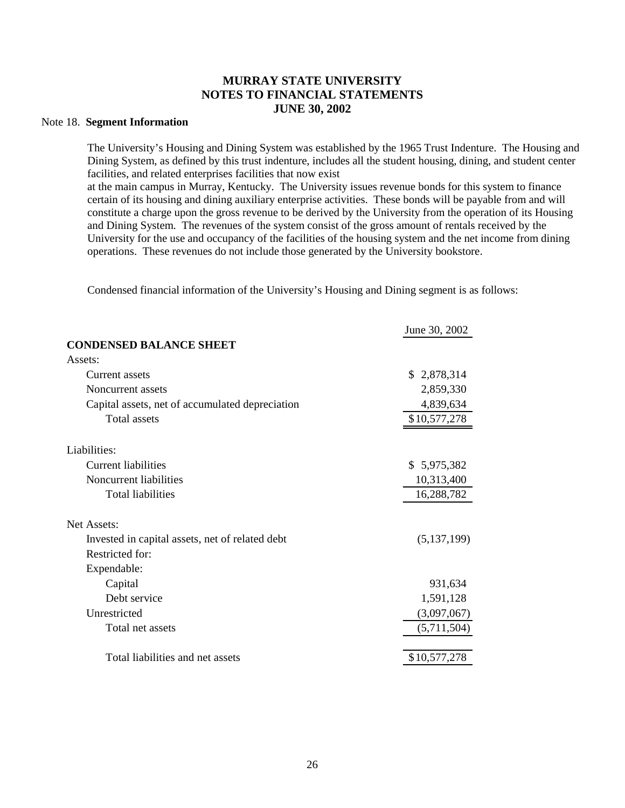#### Note 18. **Segment Information**

The University's Housing and Dining System was established by the 1965 Trust Indenture. The Housing and Dining System, as defined by this trust indenture, includes all the student housing, dining, and student center facilities, and related enterprises facilities that now exist

at the main campus in Murray, Kentucky. The University issues revenue bonds for this system to finance certain of its housing and dining auxiliary enterprise activities. These bonds will be payable from and will constitute a charge upon the gross revenue to be derived by the University from the operation of its Housing and Dining System. The revenues of the system consist of the gross amount of rentals received by the University for the use and occupancy of the facilities of the housing system and the net income from dining operations. These revenues do not include those generated by the University bookstore.

Condensed financial information of the University's Housing and Dining segment is as follows:

|                                                 | June 30, 2002 |
|-------------------------------------------------|---------------|
| <b>CONDENSED BALANCE SHEET</b>                  |               |
| Assets:                                         |               |
| Current assets                                  | \$2,878,314   |
| Noncurrent assets                               | 2,859,330     |
| Capital assets, net of accumulated depreciation | 4,839,634     |
| <b>Total assets</b>                             | \$10,577,278  |
| Liabilities:                                    |               |
| <b>Current liabilities</b>                      | \$5,975,382   |
| Noncurrent liabilities                          | 10,313,400    |
| <b>Total liabilities</b>                        | 16,288,782    |
| Net Assets:                                     |               |
| Invested in capital assets, net of related debt | (5,137,199)   |
| Restricted for:                                 |               |
| Expendable:                                     |               |
| Capital                                         | 931,634       |
| Debt service                                    | 1,591,128     |
| Unrestricted                                    | (3,097,067)   |
| Total net assets                                | (5,711,504)   |
| Total liabilities and net assets                | \$10,577,278  |
|                                                 |               |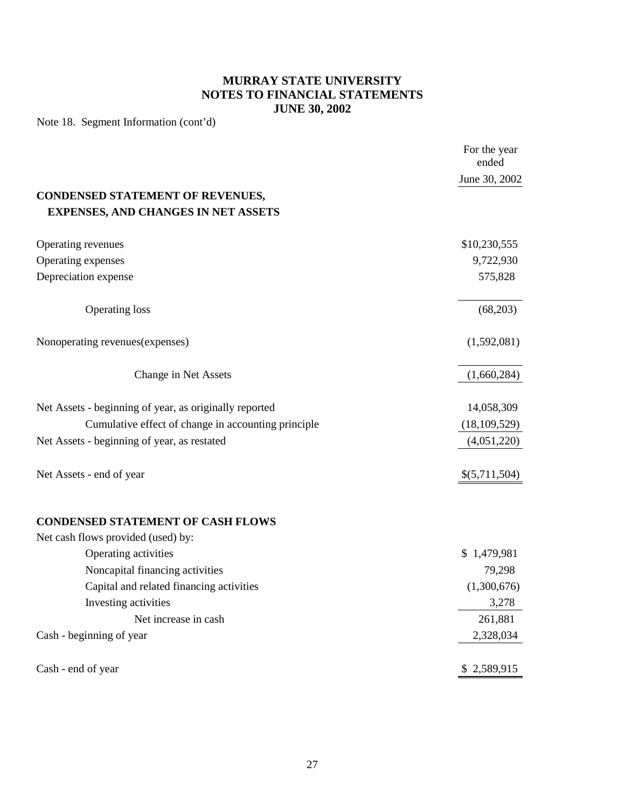Note 18. Segment Information (cont'd)

| <b>CONDENSED STATEMENT OF REVENUES,</b><br><b>EXPENSES, AND CHANGES IN NET ASSETS</b><br>Operating revenues<br>Operating expenses<br>Depreciation expense<br><b>Operating loss</b><br>Nonoperating revenues(expenses)<br>Change in Net Assets<br>Net Assets - beginning of year, as originally reported<br>Cumulative effect of change in accounting principle<br>Net Assets - beginning of year, as restated | ended          |
|---------------------------------------------------------------------------------------------------------------------------------------------------------------------------------------------------------------------------------------------------------------------------------------------------------------------------------------------------------------------------------------------------------------|----------------|
|                                                                                                                                                                                                                                                                                                                                                                                                               | June 30, 2002  |
|                                                                                                                                                                                                                                                                                                                                                                                                               |                |
|                                                                                                                                                                                                                                                                                                                                                                                                               |                |
|                                                                                                                                                                                                                                                                                                                                                                                                               | \$10,230,555   |
|                                                                                                                                                                                                                                                                                                                                                                                                               | 9,722,930      |
|                                                                                                                                                                                                                                                                                                                                                                                                               | 575,828        |
|                                                                                                                                                                                                                                                                                                                                                                                                               | (68,203)       |
|                                                                                                                                                                                                                                                                                                                                                                                                               | (1,592,081)    |
|                                                                                                                                                                                                                                                                                                                                                                                                               | (1,660,284)    |
|                                                                                                                                                                                                                                                                                                                                                                                                               | 14,058,309     |
|                                                                                                                                                                                                                                                                                                                                                                                                               | (18, 109, 529) |
|                                                                                                                                                                                                                                                                                                                                                                                                               | (4,051,220)    |
| Net Assets - end of year                                                                                                                                                                                                                                                                                                                                                                                      | \$(5,711,504)  |
| <b>CONDENSED STATEMENT OF CASH FLOWS</b>                                                                                                                                                                                                                                                                                                                                                                      |                |
| Net cash flows provided (used) by:                                                                                                                                                                                                                                                                                                                                                                            |                |
| Operating activities                                                                                                                                                                                                                                                                                                                                                                                          | \$1,479,981    |
| Noncapital financing activities                                                                                                                                                                                                                                                                                                                                                                               | 79,298         |
| Capital and related financing activities                                                                                                                                                                                                                                                                                                                                                                      | (1,300,676)    |
| Investing activities                                                                                                                                                                                                                                                                                                                                                                                          | 3,278          |
| Net increase in cash                                                                                                                                                                                                                                                                                                                                                                                          | 261,881        |
| Cash - beginning of year                                                                                                                                                                                                                                                                                                                                                                                      | 2,328,034      |
| Cash - end of year                                                                                                                                                                                                                                                                                                                                                                                            | \$2,589,915    |